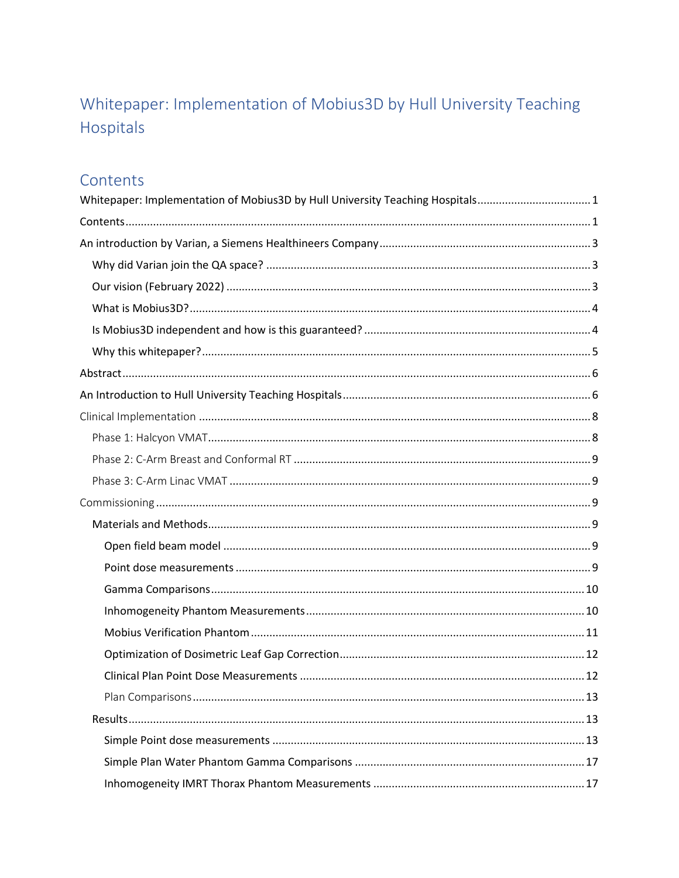# <span id="page-0-0"></span>Whitepaper: Implementation of Mobius3D by Hull University Teaching Hospitals

## <span id="page-0-1"></span>Contents

| Whitepaper: Implementation of Mobius3D by Hull University Teaching Hospitals1 |  |
|-------------------------------------------------------------------------------|--|
|                                                                               |  |
|                                                                               |  |
|                                                                               |  |
|                                                                               |  |
|                                                                               |  |
|                                                                               |  |
|                                                                               |  |
|                                                                               |  |
|                                                                               |  |
|                                                                               |  |
|                                                                               |  |
|                                                                               |  |
|                                                                               |  |
|                                                                               |  |
|                                                                               |  |
|                                                                               |  |
|                                                                               |  |
|                                                                               |  |
|                                                                               |  |
|                                                                               |  |
|                                                                               |  |
|                                                                               |  |
|                                                                               |  |
|                                                                               |  |
|                                                                               |  |
|                                                                               |  |
|                                                                               |  |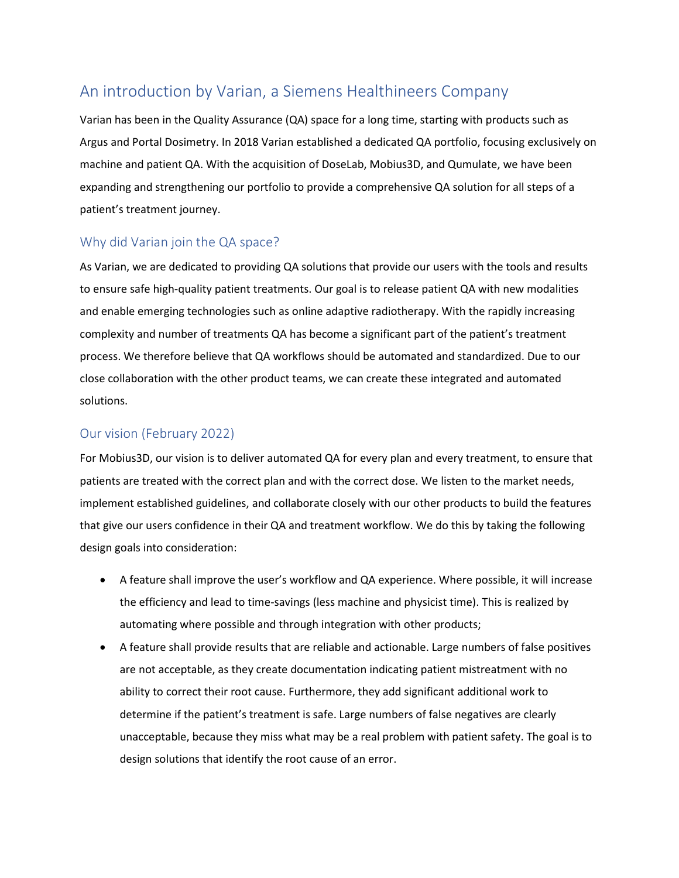### <span id="page-2-0"></span>An introduction by Varian, a Siemens Healthineers Company

Varian has been in the Quality Assurance (QA) space for a long time, starting with products such as Argus and Portal Dosimetry. In 2018 Varian established a dedicated QA portfolio, focusing exclusively on machine and patient QA. With the acquisition of DoseLab, Mobius3D, and Qumulate, we have been expanding and strengthening our portfolio to provide a comprehensive QA solution for all steps of a patient's treatment journey.

#### <span id="page-2-1"></span>Why did Varian join the QA space?

As Varian, we are dedicated to providing QA solutions that provide our users with the tools and results to ensure safe high-quality patient treatments. Our goal is to release patient QA with new modalities and enable emerging technologies such as online adaptive radiotherapy. With the rapidly increasing complexity and number of treatments QA has become a significant part of the patient's treatment process. We therefore believe that QA workflows should be automated and standardized. Due to our close collaboration with the other product teams, we can create these integrated and automated solutions.

#### <span id="page-2-2"></span>Our vision (February 2022)

For Mobius3D, our vision is to deliver automated QA for every plan and every treatment, to ensure that patients are treated with the correct plan and with the correct dose. We listen to the market needs, implement established guidelines, and collaborate closely with our other products to build the features that give our users confidence in their QA and treatment workflow. We do this by taking the following design goals into consideration:

- A feature shall improve the user's workflow and QA experience. Where possible, it will increase the efficiency and lead to time-savings (less machine and physicist time). This is realized by automating where possible and through integration with other products;
- A feature shall provide results that are reliable and actionable. Large numbers of false positives are not acceptable, as they create documentation indicating patient mistreatment with no ability to correct their root cause. Furthermore, they add significant additional work to determine if the patient's treatment is safe. Large numbers of false negatives are clearly unacceptable, because they miss what may be a real problem with patient safety. The goal is to design solutions that identify the root cause of an error.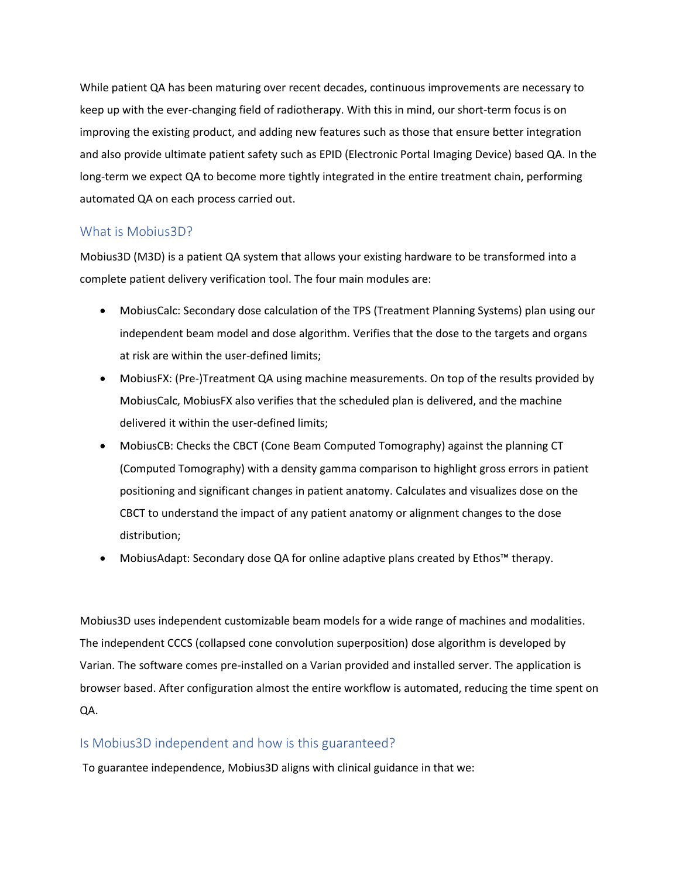While patient QA has been maturing over recent decades, continuous improvements are necessary to keep up with the ever-changing field of radiotherapy. With this in mind, our short-term focus is on improving the existing product, and adding new features such as those that ensure better integration and also provide ultimate patient safety such as EPID (Electronic Portal Imaging Device) based QA. In the long-term we expect QA to become more tightly integrated in the entire treatment chain, performing automated QA on each process carried out.

#### <span id="page-3-0"></span>What is Mobius3D?

Mobius3D (M3D) is a patient QA system that allows your existing hardware to be transformed into a complete patient delivery verification tool. The four main modules are:

- MobiusCalc: Secondary dose calculation of the TPS (Treatment Planning Systems) plan using our independent beam model and dose algorithm. Verifies that the dose to the targets and organs at risk are within the user-defined limits;
- MobiusFX: (Pre-)Treatment QA using machine measurements. On top of the results provided by MobiusCalc, MobiusFX also verifies that the scheduled plan is delivered, and the machine delivered it within the user-defined limits;
- MobiusCB: Checks the CBCT (Cone Beam Computed Tomography) against the planning CT (Computed Tomography) with a density gamma comparison to highlight gross errors in patient positioning and significant changes in patient anatomy. Calculates and visualizes dose on the CBCT to understand the impact of any patient anatomy or alignment changes to the dose distribution;
- MobiusAdapt: Secondary dose QA for online adaptive plans created by Ethos™ therapy.

Mobius3D uses independent customizable beam models for a wide range of machines and modalities. The independent CCCS (collapsed cone convolution superposition) dose algorithm is developed by Varian. The software comes pre-installed on a Varian provided and installed server. The application is browser based. After configuration almost the entire workflow is automated, reducing the time spent on QA.

#### <span id="page-3-1"></span>Is Mobius3D independent and how is this guaranteed?

To guarantee independence, Mobius3D aligns with clinical guidance in that we: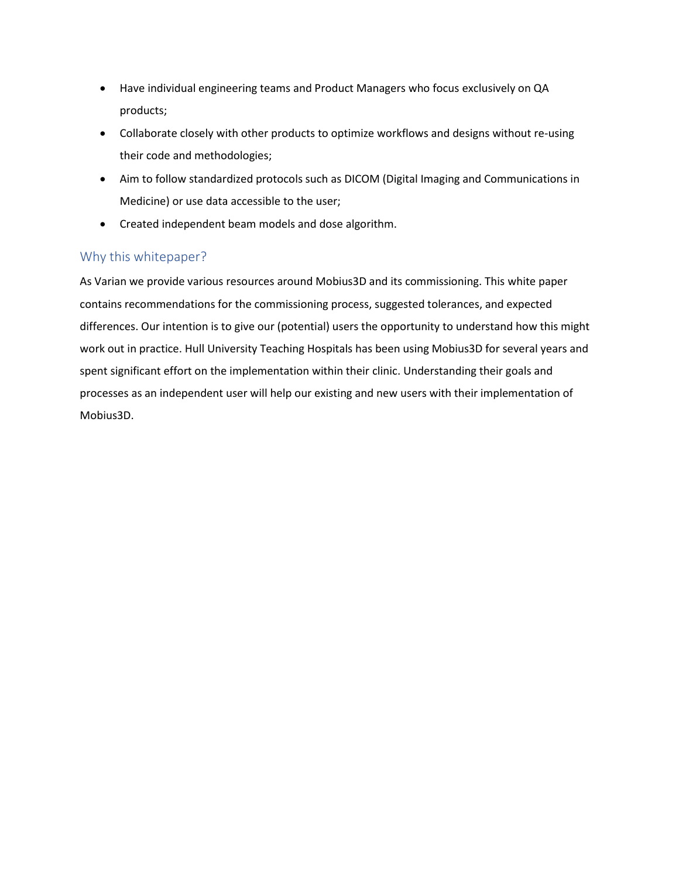- Have individual engineering teams and Product Managers who focus exclusively on QA products;
- Collaborate closely with other products to optimize workflows and designs without re-using their code and methodologies;
- Aim to follow standardized protocols such as DICOM (Digital Imaging and Communications in Medicine) or use data accessible to the user;
- Created independent beam models and dose algorithm.

### <span id="page-4-0"></span>Why this whitepaper?

As Varian we provide various resources around Mobius3D and its commissioning. This white paper contains recommendations for the commissioning process, suggested tolerances, and expected differences. Our intention is to give our (potential) users the opportunity to understand how this might work out in practice. Hull University Teaching Hospitals has been using Mobius3D for several years and spent significant effort on the implementation within their clinic. Understanding their goals and processes as an independent user will help our existing and new users with their implementation of Mobius3D.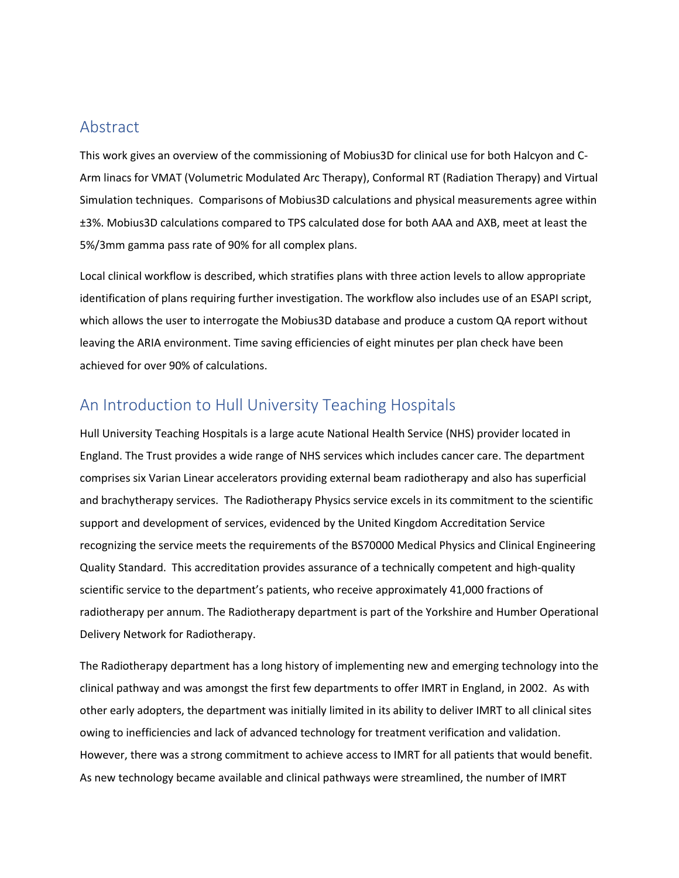### <span id="page-5-0"></span>Abstract

This work gives an overview of the commissioning of Mobius3D for clinical use for both Halcyon and C-Arm linacs for VMAT (Volumetric Modulated Arc Therapy), Conformal RT (Radiation Therapy) and Virtual Simulation techniques. Comparisons of Mobius3D calculations and physical measurements agree within ±3%. Mobius3D calculations compared to TPS calculated dose for both AAA and AXB, meet at least the 5%/3mm gamma pass rate of 90% for all complex plans.

Local clinical workflow is described, which stratifies plans with three action levels to allow appropriate identification of plans requiring further investigation. The workflow also includes use of an ESAPI script, which allows the user to interrogate the Mobius3D database and produce a custom QA report without leaving the ARIA environment. Time saving efficiencies of eight minutes per plan check have been achieved for over 90% of calculations.

### <span id="page-5-1"></span>An Introduction to Hull University Teaching Hospitals

Hull University Teaching Hospitals is a large acute National Health Service (NHS) provider located in England. The Trust provides a wide range of NHS services which includes cancer care. The department comprises six Varian Linear accelerators providing external beam radiotherapy and also has superficial and brachytherapy services. The Radiotherapy Physics service excels in its commitment to the scientific support and development of services, evidenced by the United Kingdom Accreditation Service recognizing the service meets the requirements of the BS70000 Medical Physics and Clinical Engineering Quality Standard. This accreditation provides assurance of a technically competent and high-quality scientific service to the department's patients, who receive approximately 41,000 fractions of radiotherapy per annum. The Radiotherapy department is part of the Yorkshire and Humber Operational Delivery Network for Radiotherapy.

The Radiotherapy department has a long history of implementing new and emerging technology into the clinical pathway and was amongst the first few departments to offer IMRT in England, in 2002. As with other early adopters, the department was initially limited in its ability to deliver IMRT to all clinical sites owing to inefficiencies and lack of advanced technology for treatment verification and validation. However, there was a strong commitment to achieve access to IMRT for all patients that would benefit. As new technology became available and clinical pathways were streamlined, the number of IMRT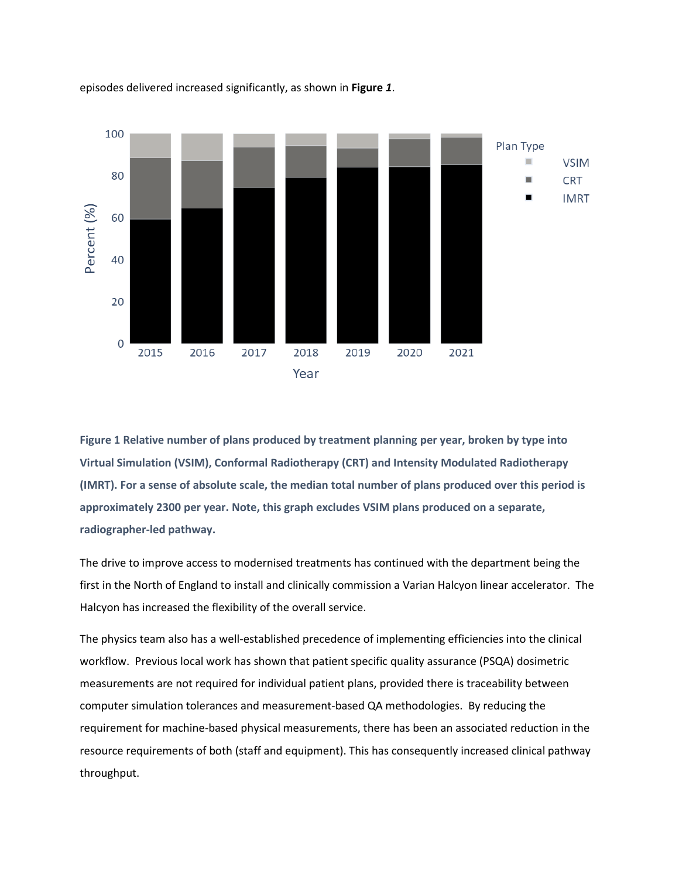

episodes delivered increased significantly, as shown in **[Figure](#page-6-0)** *1*.

<span id="page-6-0"></span>**Figure 1 Relative number of plans produced by treatment planning per year, broken by type into Virtual Simulation (VSIM), Conformal Radiotherapy (CRT) and Intensity Modulated Radiotherapy (IMRT). For a sense of absolute scale, the median total number of plans produced over this period is approximately 2300 per year. Note, this graph excludes VSIM plans produced on a separate, radiographer-led pathway.** 

The drive to improve access to modernised treatments has continued with the department being the first in the North of England to install and clinically commission a Varian Halcyon linear accelerator. The Halcyon has increased the flexibility of the overall service.

The physics team also has a well-established precedence of implementing efficiencies into the clinical workflow. Previous local work has shown that patient specific quality assurance (PSQA) dosimetric measurements are not required for individual patient plans, provided there is traceability between computer simulation tolerances and measurement-based QA methodologies. By reducing the requirement for machine-based physical measurements, there has been an associated reduction in the resource requirements of both (staff and equipment). This has consequently increased clinical pathway throughput.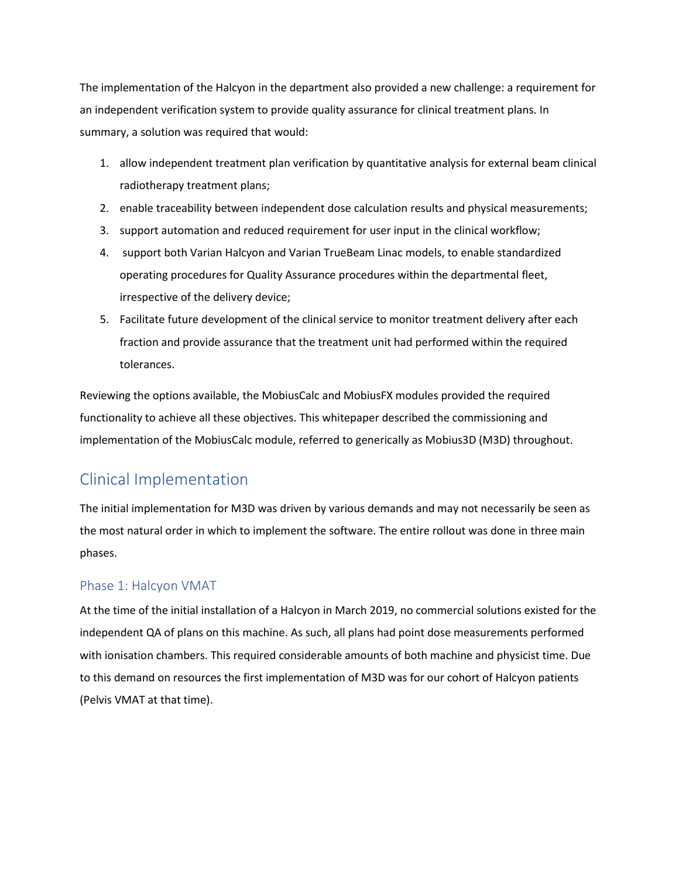The implementation of the Halcyon in the department also provided a new challenge: a requirement for an independent verification system to provide quality assurance for clinical treatment plans. In summary, a solution was required that would:

- 1. allow independent treatment plan verification by quantitative analysis for external beam clinical radiotherapy treatment plans;
- 2. enable traceability between independent dose calculation results and physical measurements;
- 3. support automation and reduced requirement for user input in the clinical workflow;
- 4. support both Varian Halcyon and Varian TrueBeam Linac models, to enable standardized operating procedures for Quality Assurance procedures within the departmental fleet, irrespective of the delivery device;
- 5. Facilitate future development of the clinical service to monitor treatment delivery after each fraction and provide assurance that the treatment unit had performed within the required tolerances.

Reviewing the options available, the MobiusCalc and MobiusFX modules provided the required functionality to achieve all these objectives. This whitepaper described the commissioning and implementation of the MobiusCalc module, referred to generically as Mobius3D (M3D) throughout.

### <span id="page-7-0"></span>Clinical Implementation

The initial implementation for M3D was driven by various demands and may not necessarily be seen as the most natural order in which to implement the software. The entire rollout was done in three main phases.

#### <span id="page-7-1"></span>Phase 1: Halcyon VMAT

At the time of the initial installation of a Halcyon in March 2019, no commercial solutions existed for the independent QA of plans on this machine. As such, all plans had point dose measurements performed with ionisation chambers. This required considerable amounts of both machine and physicist time. Due to this demand on resources the first implementation of M3D was for our cohort of Halcyon patients (Pelvis VMAT at that time).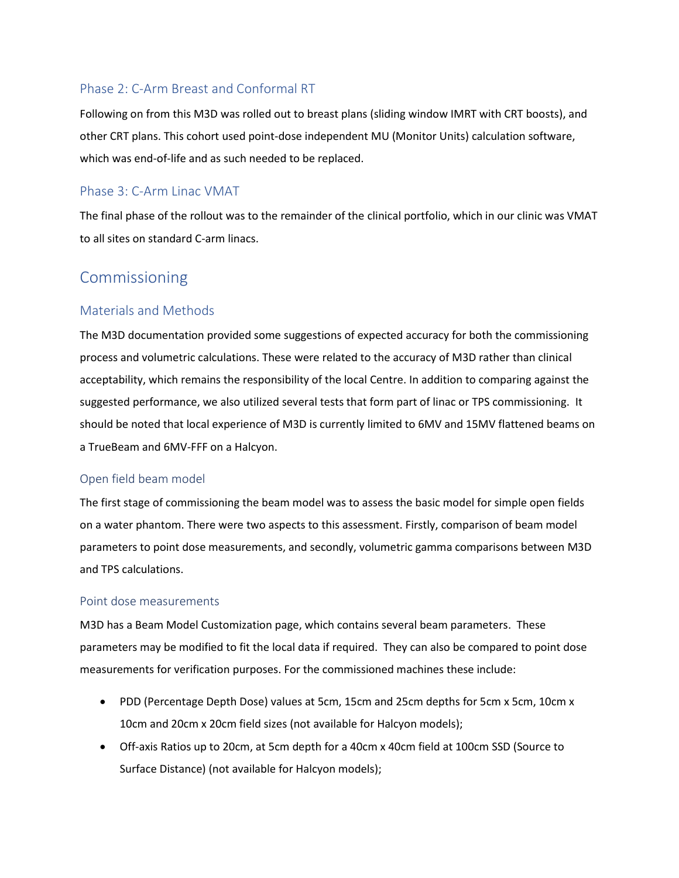### <span id="page-8-0"></span>Phase 2: C-Arm Breast and Conformal RT

Following on from this M3D was rolled out to breast plans (sliding window IMRT with CRT boosts), and other CRT plans. This cohort used point-dose independent MU (Monitor Units) calculation software, which was end-of-life and as such needed to be replaced.

### <span id="page-8-1"></span>Phase 3: C-Arm Linac VMAT

The final phase of the rollout was to the remainder of the clinical portfolio, which in our clinic was VMAT to all sites on standard C-arm linacs.

### <span id="page-8-2"></span>Commissioning

#### <span id="page-8-3"></span>Materials and Methods

The M3D documentation provided some suggestions of expected accuracy for both the commissioning process and volumetric calculations. These were related to the accuracy of M3D rather than clinical acceptability, which remains the responsibility of the local Centre. In addition to comparing against the suggested performance, we also utilized several tests that form part of linac or TPS commissioning. It should be noted that local experience of M3D is currently limited to 6MV and 15MV flattened beams on a TrueBeam and 6MV-FFF on a Halcyon.

#### <span id="page-8-4"></span>Open field beam model

The first stage of commissioning the beam model was to assess the basic model for simple open fields on a water phantom. There were two aspects to this assessment. Firstly, comparison of beam model parameters to point dose measurements, and secondly, volumetric gamma comparisons between M3D and TPS calculations.

#### <span id="page-8-5"></span>Point dose measurements

M3D has a Beam Model Customization page, which contains several beam parameters. These parameters may be modified to fit the local data if required. They can also be compared to point dose measurements for verification purposes. For the commissioned machines these include:

- PDD (Percentage Depth Dose) values at 5cm, 15cm and 25cm depths for 5cm x 5cm, 10cm x 10cm and 20cm x 20cm field sizes (not available for Halcyon models);
- Off-axis Ratios up to 20cm, at 5cm depth for a 40cm x 40cm field at 100cm SSD (Source to Surface Distance) (not available for Halcyon models);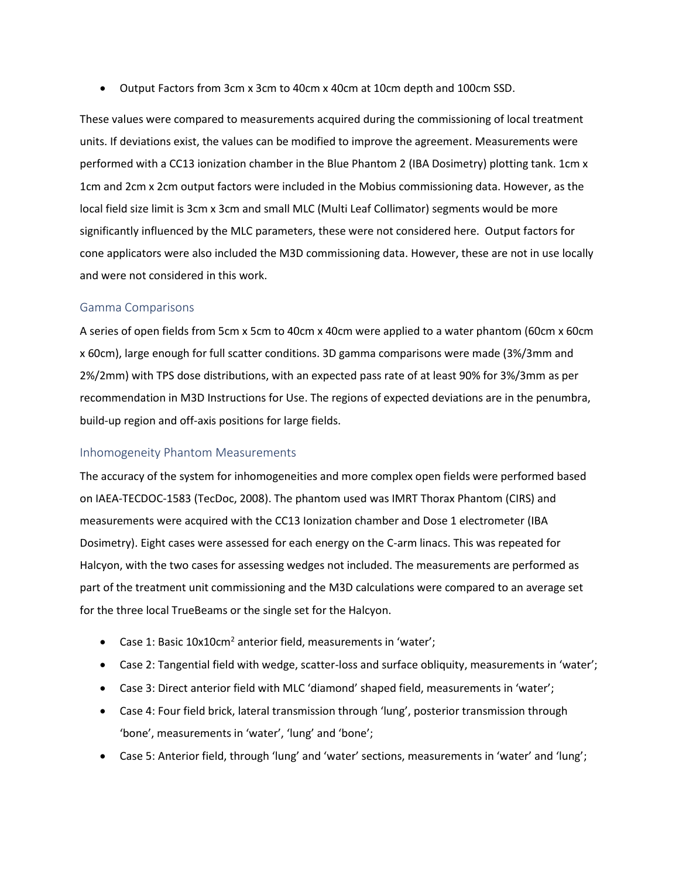• Output Factors from 3cm x 3cm to 40cm x 40cm at 10cm depth and 100cm SSD.

These values were compared to measurements acquired during the commissioning of local treatment units. If deviations exist, the values can be modified to improve the agreement. Measurements were performed with a CC13 ionization chamber in the Blue Phantom 2 (IBA Dosimetry) plotting tank. 1cm x 1cm and 2cm x 2cm output factors were included in the Mobius commissioning data. However, as the local field size limit is 3cm x 3cm and small MLC (Multi Leaf Collimator) segments would be more significantly influenced by the MLC parameters, these were not considered here. Output factors for cone applicators were also included the M3D commissioning data. However, these are not in use locally and were not considered in this work.

#### <span id="page-9-0"></span>Gamma Comparisons

A series of open fields from 5cm x 5cm to 40cm x 40cm were applied to a water phantom (60cm x 60cm x 60cm), large enough for full scatter conditions. 3D gamma comparisons were made (3%/3mm and 2%/2mm) with TPS dose distributions, with an expected pass rate of at least 90% for 3%/3mm as per recommendation in M3D Instructions for Use. The regions of expected deviations are in the penumbra, build-up region and off-axis positions for large fields.

#### <span id="page-9-1"></span>Inhomogeneity Phantom Measurements

The accuracy of the system for inhomogeneities and more complex open fields were performed based on IAEA-TECDOC-1583 (TecDoc, 2008). The phantom used was IMRT Thorax Phantom (CIRS) and measurements were acquired with the CC13 Ionization chamber and Dose 1 electrometer (IBA Dosimetry). Eight cases were assessed for each energy on the C-arm linacs. This was repeated for Halcyon, with the two cases for assessing wedges not included. The measurements are performed as part of the treatment unit commissioning and the M3D calculations were compared to an average set for the three local TrueBeams or the single set for the Halcyon.

- Case 1: Basic  $10x10cm^2$  anterior field, measurements in 'water';
- Case 2: Tangential field with wedge, scatter-loss and surface obliquity, measurements in 'water';
- Case 3: Direct anterior field with MLC 'diamond' shaped field, measurements in 'water';
- Case 4: Four field brick, lateral transmission through 'lung', posterior transmission through 'bone', measurements in 'water', 'lung' and 'bone';
- Case 5: Anterior field, through 'lung' and 'water' sections, measurements in 'water' and 'lung';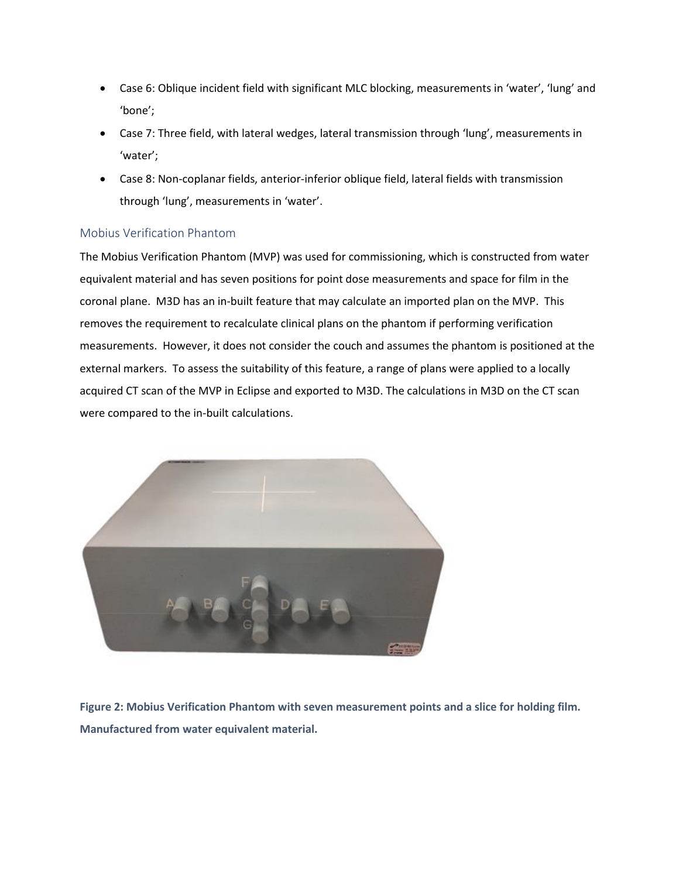- Case 6: Oblique incident field with significant MLC blocking, measurements in 'water', 'lung' and 'bone';
- Case 7: Three field, with lateral wedges, lateral transmission through 'lung', measurements in 'water';
- Case 8: Non-coplanar fields, anterior-inferior oblique field, lateral fields with transmission through 'lung', measurements in 'water'.

#### <span id="page-10-0"></span>Mobius Verification Phantom

The Mobius Verification Phantom (MVP) was used for commissioning, which is constructed from water equivalent material and has seven positions for point dose measurements and space for film in the coronal plane. M3D has an in-built feature that may calculate an imported plan on the MVP. This removes the requirement to recalculate clinical plans on the phantom if performing verification measurements. However, it does not consider the couch and assumes the phantom is positioned at the external markers. To assess the suitability of this feature, a range of plans were applied to a locally acquired CT scan of the MVP in Eclipse and exported to M3D. The calculations in M3D on the CT scan were compared to the in-built calculations.



**Figure 2: Mobius Verification Phantom with seven measurement points and a slice for holding film. Manufactured from water equivalent material.**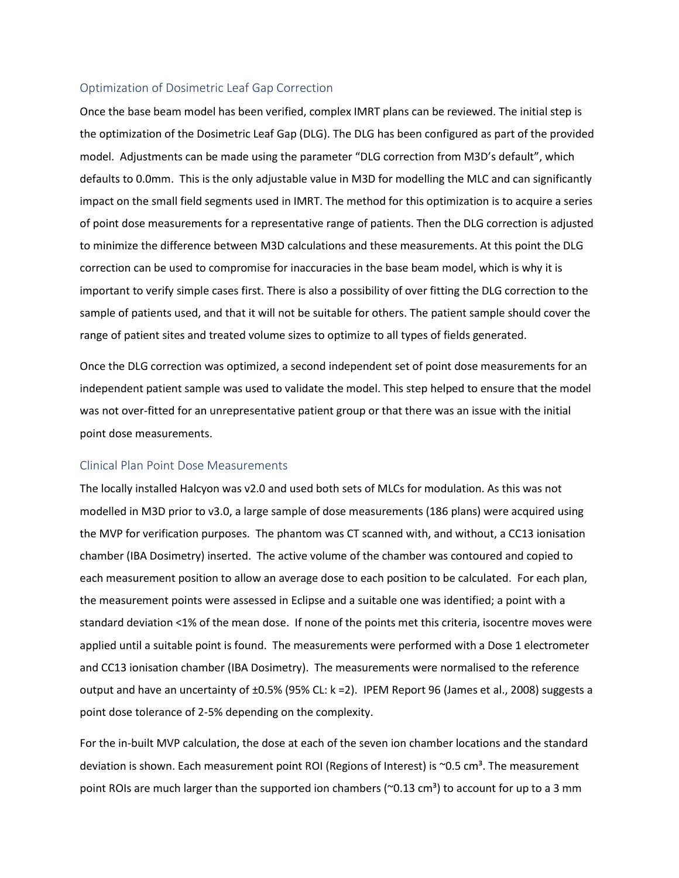#### <span id="page-11-0"></span>Optimization of Dosimetric Leaf Gap Correction

Once the base beam model has been verified, complex IMRT plans can be reviewed. The initial step is the optimization of the Dosimetric Leaf Gap (DLG). The DLG has been configured as part of the provided model. Adjustments can be made using the parameter "DLG correction from M3D's default", which defaults to 0.0mm. This is the only adjustable value in M3D for modelling the MLC and can significantly impact on the small field segments used in IMRT. The method for this optimization is to acquire a series of point dose measurements for a representative range of patients. Then the DLG correction is adjusted to minimize the difference between M3D calculations and these measurements. At this point the DLG correction can be used to compromise for inaccuracies in the base beam model, which is why it is important to verify simple cases first. There is also a possibility of over fitting the DLG correction to the sample of patients used, and that it will not be suitable for others. The patient sample should cover the range of patient sites and treated volume sizes to optimize to all types of fields generated.

Once the DLG correction was optimized, a second independent set of point dose measurements for an independent patient sample was used to validate the model. This step helped to ensure that the model was not over-fitted for an unrepresentative patient group or that there was an issue with the initial point dose measurements.

#### <span id="page-11-1"></span>Clinical Plan Point Dose Measurements

The locally installed Halcyon was v2.0 and used both sets of MLCs for modulation. As this was not modelled in M3D prior to v3.0, a large sample of dose measurements (186 plans) were acquired using the MVP for verification purposes. The phantom was CT scanned with, and without, a CC13 ionisation chamber (IBA Dosimetry) inserted. The active volume of the chamber was contoured and copied to each measurement position to allow an average dose to each position to be calculated. For each plan, the measurement points were assessed in Eclipse and a suitable one was identified; a point with a standard deviation <1% of the mean dose. If none of the points met this criteria, isocentre moves were applied until a suitable point is found. The measurements were performed with a Dose 1 electrometer and CC13 ionisation chamber (IBA Dosimetry). The measurements were normalised to the reference output and have an uncertainty of ±0.5% (95% CL: k =2). IPEM Report 96 (James et al., 2008) suggests a point dose tolerance of 2-5% depending on the complexity.

For the in-built MVP calculation, the dose at each of the seven ion chamber locations and the standard deviation is shown. Each measurement point ROI (Regions of Interest) is  $\sim$ 0.5 cm<sup>3</sup>. The measurement point ROIs are much larger than the supported ion chambers ( $\sim$ 0.13 cm<sup>3</sup>) to account for up to a 3 mm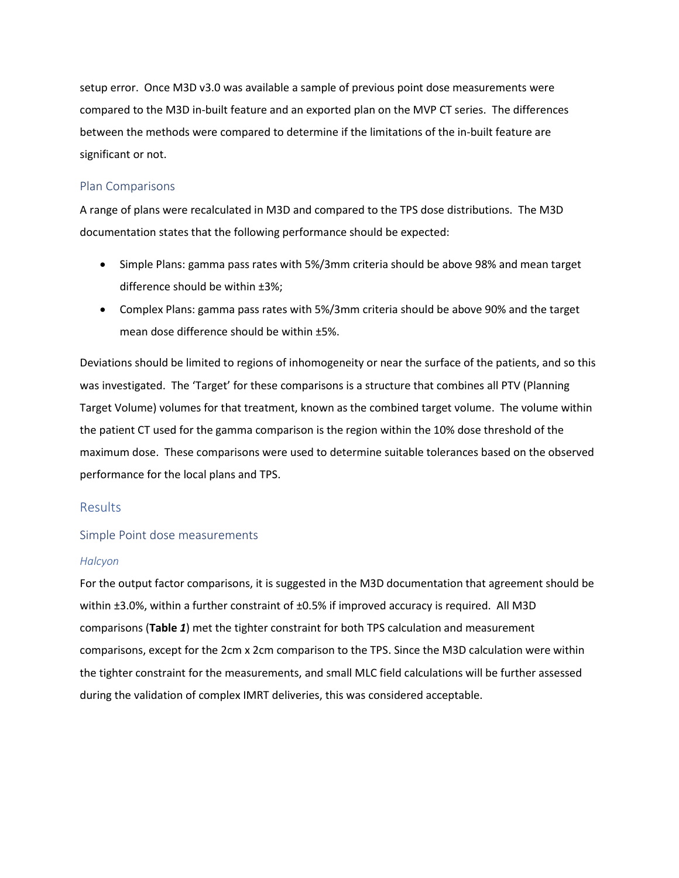setup error. Once M3D v3.0 was available a sample of previous point dose measurements were compared to the M3D in-built feature and an exported plan on the MVP CT series. The differences between the methods were compared to determine if the limitations of the in-built feature are significant or not.

#### <span id="page-12-0"></span>Plan Comparisons

A range of plans were recalculated in M3D and compared to the TPS dose distributions. The M3D documentation states that the following performance should be expected:

- Simple Plans: gamma pass rates with 5%/3mm criteria should be above 98% and mean target difference should be within ±3%;
- Complex Plans: gamma pass rates with 5%/3mm criteria should be above 90% and the target mean dose difference should be within ±5%.

Deviations should be limited to regions of inhomogeneity or near the surface of the patients, and so this was investigated. The 'Target' for these comparisons is a structure that combines all PTV (Planning Target Volume) volumes for that treatment, known as the combined target volume. The volume within the patient CT used for the gamma comparison is the region within the 10% dose threshold of the maximum dose. These comparisons were used to determine suitable tolerances based on the observed performance for the local plans and TPS.

#### <span id="page-12-1"></span>Results

#### <span id="page-12-2"></span>Simple Point dose measurements

#### *Halcyon*

For the output factor comparisons, it is suggested in the M3D documentation that agreement should be within ±3.0%, within a further constraint of ±0.5% if improved accuracy is required. All M3D comparisons (**[Table](#page-13-0)** *1*) met the tighter constraint for both TPS calculation and measurement comparisons, except for the 2cm x 2cm comparison to the TPS. Since the M3D calculation were within the tighter constraint for the measurements, and small MLC field calculations will be further assessed during the validation of complex IMRT deliveries, this was considered acceptable.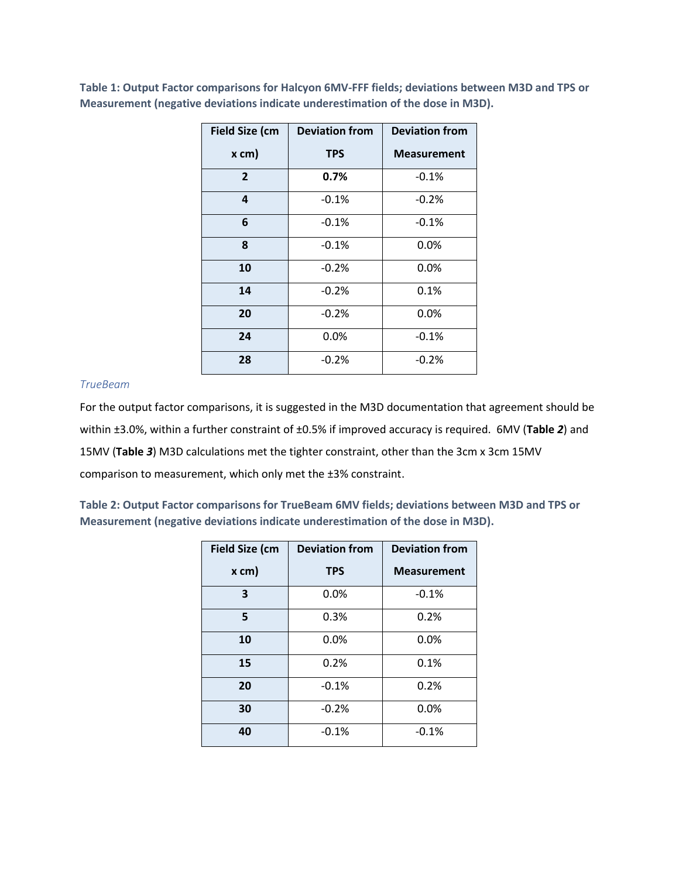| <b>Field Size (cm</b> | <b>Deviation from</b> | <b>Deviation from</b> |
|-----------------------|-----------------------|-----------------------|
| $x$ cm)               | <b>TPS</b>            | <b>Measurement</b>    |
| $\overline{2}$        | 0.7%                  | $-0.1%$               |
| 4                     | $-0.1%$               | $-0.2%$               |
| 6                     | $-0.1%$               | $-0.1%$               |
| 8                     | $-0.1%$               | 0.0%                  |
| 10                    | $-0.2%$               | $0.0\%$               |
| 14                    | $-0.2%$               | 0.1%                  |
| 20                    | $-0.2%$               | 0.0%                  |
| 24                    | 0.0%                  | $-0.1%$               |
| 28                    | $-0.2%$               | $-0.2%$               |

<span id="page-13-0"></span>**Table 1: Output Factor comparisons for Halcyon 6MV-FFF fields; deviations between M3D and TPS or Measurement (negative deviations indicate underestimation of the dose in M3D).**

#### *TrueBeam*

For the output factor comparisons, it is suggested in the M3D documentation that agreement should be within ±3.0%, within a further constraint of ±0.5% if improved accuracy is required. 6MV (**[Table](#page-13-1)** *2*) and 15MV (**[Table](#page-14-0)** *3*) M3D calculations met the tighter constraint, other than the 3cm x 3cm 15MV comparison to measurement, which only met the ±3% constraint.

<span id="page-13-1"></span>**Table 2: Output Factor comparisons for TrueBeam 6MV fields; deviations between M3D and TPS or Measurement (negative deviations indicate underestimation of the dose in M3D).**

| <b>Field Size (cm</b> | <b>Deviation from</b> | <b>Deviation from</b> |
|-----------------------|-----------------------|-----------------------|
| x cm)                 | <b>TPS</b>            | <b>Measurement</b>    |
| 3                     | 0.0%                  | $-0.1%$               |
| 5                     | 0.3%                  | 0.2%                  |
| 10                    | 0.0%                  | 0.0%                  |
| 15                    | 0.2%                  | 0.1%                  |
| 20                    | $-0.1%$               | 0.2%                  |
| 30                    | $-0.2%$               | 0.0%                  |
| 40                    | $-0.1%$               | $-0.1%$               |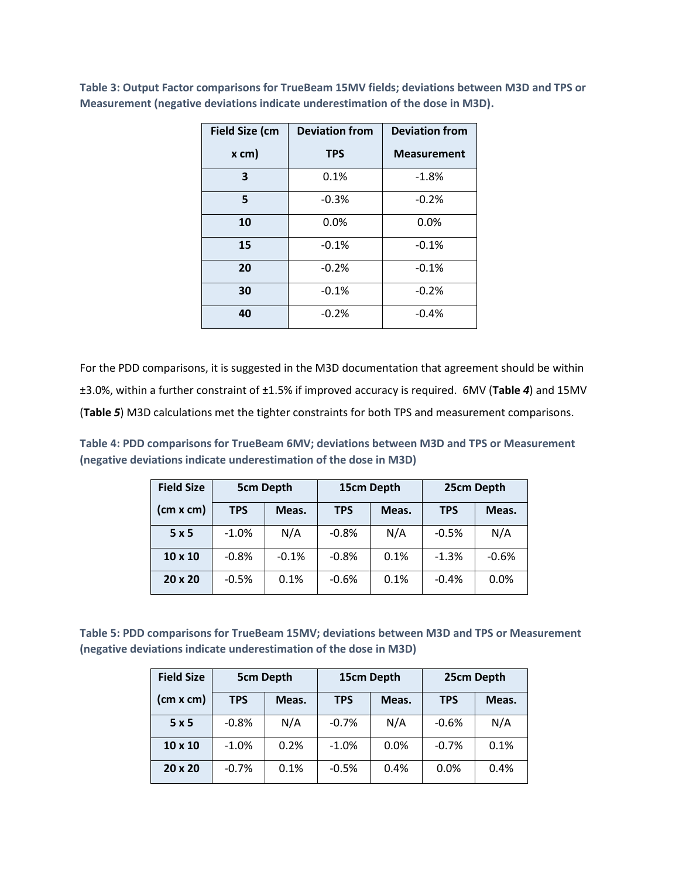| <b>Field Size (cm</b> | <b>Deviation from</b> | <b>Deviation from</b> |
|-----------------------|-----------------------|-----------------------|
| $x$ cm)               | <b>TPS</b>            | <b>Measurement</b>    |
| 3                     | 0.1%                  | $-1.8%$               |
| 5                     | $-0.3%$               | $-0.2%$               |
| 10                    | 0.0%                  | 0.0%                  |
| 15                    | $-0.1%$               | $-0.1%$               |
| 20                    | $-0.2%$               | $-0.1%$               |
| 30                    | $-0.1%$               | $-0.2%$               |
| 40                    | $-0.2%$               | $-0.4%$               |

<span id="page-14-0"></span>**Table 3: Output Factor comparisons for TrueBeam 15MV fields; deviations between M3D and TPS or Measurement (negative deviations indicate underestimation of the dose in M3D).**

For the PDD comparisons, it is suggested in the M3D documentation that agreement should be within ±3.0%, within a further constraint of ±1.5% if improved accuracy is required. 6MV (**[Table](#page-14-1)** *4*) and 15MV (**[Table](#page-14-2)** *5*) M3D calculations met the tighter constraints for both TPS and measurement comparisons.

<span id="page-14-1"></span>**Table 4: PDD comparisons for TrueBeam 6MV; deviations between M3D and TPS or Measurement (negative deviations indicate underestimation of the dose in M3D)**

| <b>Field Size</b> | <b>5cm Depth</b> |         | 15cm Depth |       |            | 25cm Depth |
|-------------------|------------------|---------|------------|-------|------------|------------|
| (cm x cm)         | <b>TPS</b>       | Meas.   | <b>TPS</b> | Meas. | <b>TPS</b> | Meas.      |
| 5x5               | $-1.0%$          | N/A     | $-0.8%$    | N/A   | $-0.5%$    | N/A        |
| 10 x 10           | $-0.8%$          | $-0.1%$ | $-0.8%$    | 0.1%  | $-1.3%$    | $-0.6%$    |
| 20 x 20           | $-0.5%$          | 0.1%    | $-0.6%$    | 0.1%  | $-0.4%$    | 0.0%       |

<span id="page-14-2"></span>**Table 5: PDD comparisons for TrueBeam 15MV; deviations between M3D and TPS or Measurement (negative deviations indicate underestimation of the dose in M3D)** 

| <b>Field Size</b> | <b>5cm Depth</b> |       |            | 15cm Depth |            | 25cm Depth |
|-------------------|------------------|-------|------------|------------|------------|------------|
| (cm x cm)         | <b>TPS</b>       | Meas. | <b>TPS</b> | Meas.      | <b>TPS</b> | Meas.      |
| 5x5               | $-0.8%$          | N/A   | $-0.7%$    | N/A        | $-0.6%$    | N/A        |
| 10 x 10           | $-1.0%$          | 0.2%  | $-1.0%$    | 0.0%       | $-0.7%$    | 0.1%       |
| $20 \times 20$    | $-0.7%$          | 0.1%  | $-0.5%$    | 0.4%       | 0.0%       | 0.4%       |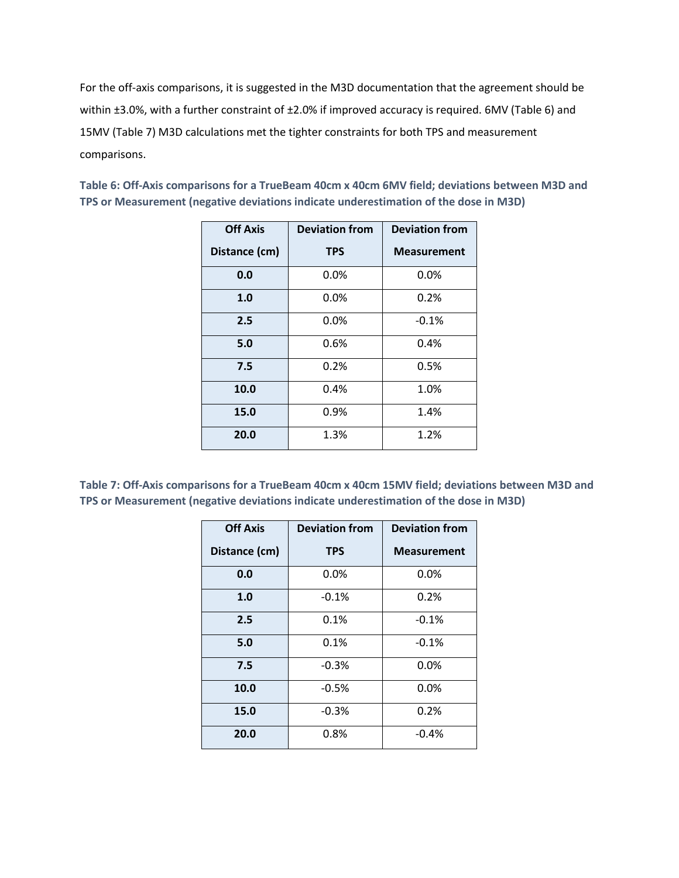For the off-axis comparisons, it is suggested in the M3D documentation that the agreement should be within ±3.0%, with a further constraint of ±2.0% if improved accuracy is required. 6MV [\(Table 6\)](#page-15-0) and 15MV [\(Table 7\)](#page-15-1) M3D calculations met the tighter constraints for both TPS and measurement comparisons.

| <b>Off Axis</b> | <b>Deviation from</b> | <b>Deviation from</b> |
|-----------------|-----------------------|-----------------------|
| Distance (cm)   | <b>TPS</b>            | <b>Measurement</b>    |
| 0.0             | 0.0%                  | $0.0\%$               |
| 1.0             | 0.0%                  | $0.2\%$               |
| 2.5             | 0.0%                  | $-0.1%$               |
| 5.0             | 0.6%                  | 0.4%                  |
| 7.5             | 0.2%                  | 0.5%                  |
| 10.0            | 0.4%                  | 1.0%                  |
| 15.0            | 0.9%                  | 1.4%                  |
| 20.0            | 1.3%                  | 1.2%                  |

<span id="page-15-0"></span>**Table 6: Off-Axis comparisons for a TrueBeam 40cm x 40cm 6MV field; deviations between M3D and TPS or Measurement (negative deviations indicate underestimation of the dose in M3D)** 

<span id="page-15-1"></span>**Table 7: Off-Axis comparisons for a TrueBeam 40cm x 40cm 15MV field; deviations between M3D and TPS or Measurement (negative deviations indicate underestimation of the dose in M3D)** 

| <b>Off Axis</b> | <b>Deviation from</b> | <b>Deviation from</b> |
|-----------------|-----------------------|-----------------------|
| Distance (cm)   | <b>TPS</b>            | <b>Measurement</b>    |
| 0.0             | 0.0%                  | 0.0%                  |
| 1.0             | $-0.1%$               | 0.2%                  |
| 2.5             | 0.1%                  | $-0.1%$               |
| 5.0             | 0.1%                  | $-0.1%$               |
| 7.5             | $-0.3%$               | 0.0%                  |
| 10.0            | $-0.5%$               | 0.0%                  |
| 15.0            | $-0.3%$               | 0.2%                  |
| 20.0            | 0.8%                  | $-0.4%$               |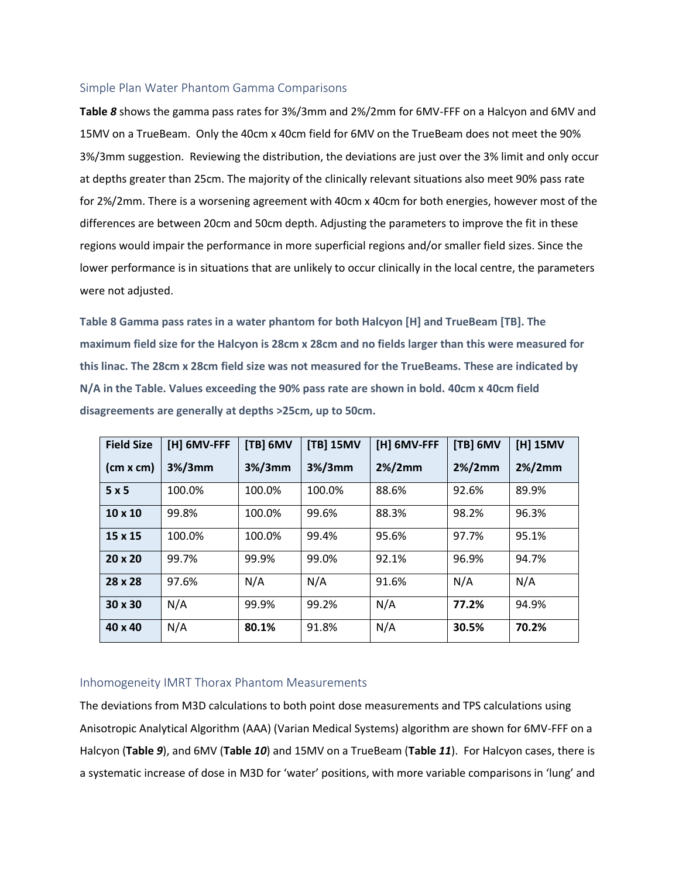#### <span id="page-16-0"></span>Simple Plan Water Phantom Gamma Comparisons

**[Table](#page-16-2)** *8* shows the gamma pass rates for 3%/3mm and 2%/2mm for 6MV-FFF on a Halcyon and 6MV and 15MV on a TrueBeam. Only the 40cm x 40cm field for 6MV on the TrueBeam does not meet the 90% 3%/3mm suggestion. Reviewing the distribution, the deviations are just over the 3% limit and only occur at depths greater than 25cm. The majority of the clinically relevant situations also meet 90% pass rate for 2%/2mm. There is a worsening agreement with 40cm x 40cm for both energies, however most of the differences are between 20cm and 50cm depth. Adjusting the parameters to improve the fit in these regions would impair the performance in more superficial regions and/or smaller field sizes. Since the lower performance is in situations that are unlikely to occur clinically in the local centre, the parameters were not adjusted.

<span id="page-16-2"></span>**Table 8 Gamma pass rates in a water phantom for both Halcyon [H] and TrueBeam [TB]. The maximum field size for the Halcyon is 28cm x 28cm and no fields larger than this were measured for this linac. The 28cm x 28cm field size was not measured for the TrueBeams. These are indicated by N/A in the Table. Values exceeding the 90% pass rate are shown in bold. 40cm x 40cm field disagreements are generally at depths >25cm, up to 50cm.**

| <b>Field Size</b> | [H] 6MV-FFF | [TB] 6MV   | [TB] 15MV  | [H] 6MV-FFF | [TB] 6MV  | [H] 15MV  |
|-------------------|-------------|------------|------------|-------------|-----------|-----------|
| (cm x cm)         | $3\%/3$ mm  | $3\%/3$ mm | $3\%/3$ mm | $2\%/2mm$   | $2\%/2mm$ | $2\%/2mm$ |
| 5x5               | 100.0%      | 100.0%     | 100.0%     | 88.6%       | 92.6%     | 89.9%     |
| $10 \times 10$    | 99.8%       | 100.0%     | 99.6%      | 88.3%       | 98.2%     | 96.3%     |
| 15 x 15           | 100.0%      | 100.0%     | 99.4%      | 95.6%       | 97.7%     | 95.1%     |
| 20 x 20           | 99.7%       | 99.9%      | 99.0%      | 92.1%       | 96.9%     | 94.7%     |
| 28 x 28           | 97.6%       | N/A        | N/A        | 91.6%       | N/A       | N/A       |
| 30 x 30           | N/A         | 99.9%      | 99.2%      | N/A         | 77.2%     | 94.9%     |
| $40 \times 40$    | N/A         | 80.1%      | 91.8%      | N/A         | 30.5%     | 70.2%     |

#### <span id="page-16-1"></span>Inhomogeneity IMRT Thorax Phantom Measurements

The deviations from M3D calculations to both point dose measurements and TPS calculations using Anisotropic Analytical Algorithm (AAA) (Varian Medical Systems) algorithm are shown for 6MV-FFF on a Halcyon (**[Table](#page-18-0)** *9*), and 6MV (**[Table](#page-19-0)** *10*) and 15MV on a TrueBeam (**[Table](#page-20-0)** *11*). For Halcyon cases, there is a systematic increase of dose in M3D for 'water' positions, with more variable comparisons in 'lung' and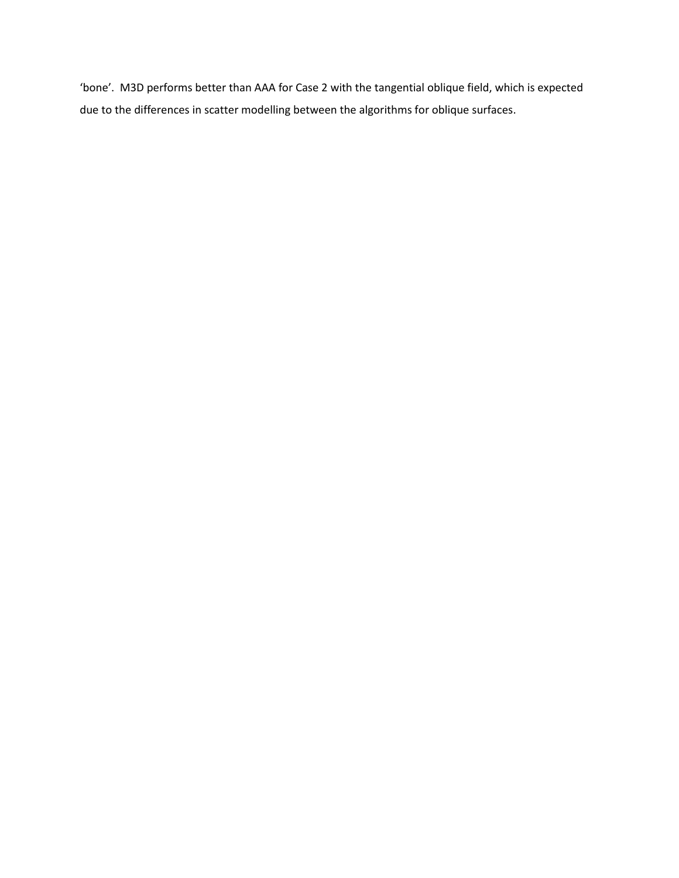'bone'. M3D performs better than AAA for Case 2 with the tangential oblique field, which is expected due to the differences in scatter modelling between the algorithms for oblique surfaces.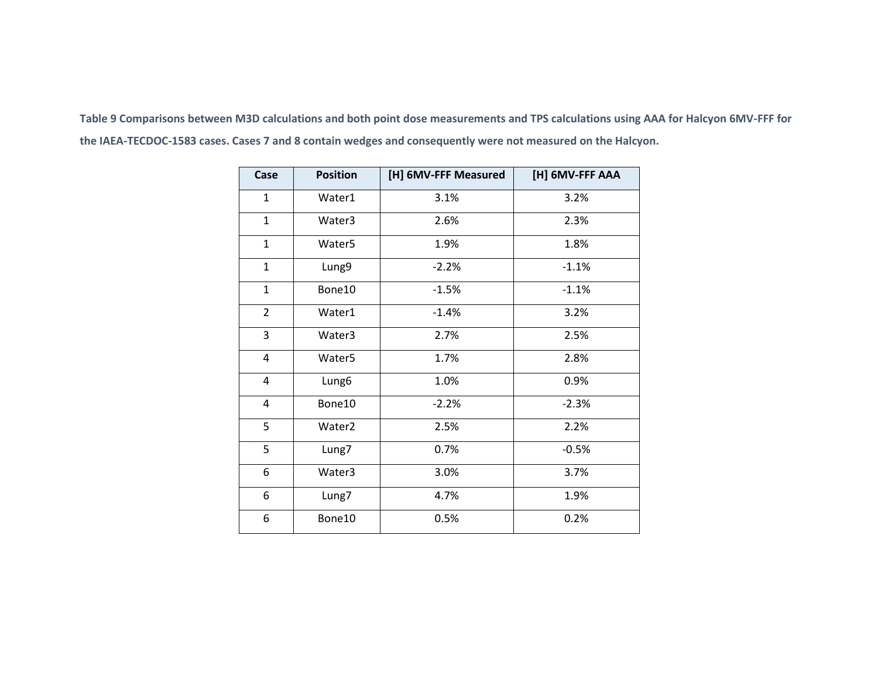<span id="page-18-0"></span>**Table 9 Comparisons between M3D calculations and both point dose measurements and TPS calculations using AAA for Halcyon 6MV-FFF for the IAEA-TECDOC-1583 cases. Cases 7 and 8 contain wedges and consequently were not measured on the Halcyon.**

| Case           | <b>Position</b>    | [H] 6MV-FFF Measured | [H] 6MV-FFF AAA |
|----------------|--------------------|----------------------|-----------------|
| 1              | Water1             | 3.1%                 | 3.2%            |
| $\mathbf{1}$   | Water3             | 2.6%                 | 2.3%            |
| $\mathbf{1}$   | Water <sub>5</sub> | 1.9%                 | 1.8%            |
| $\mathbf{1}$   | Lung9              | $-2.2%$              | $-1.1%$         |
| $\mathbf{1}$   | Bone10             | $-1.5%$              | $-1.1%$         |
| $\overline{2}$ | Water1             | $-1.4%$              | 3.2%            |
| 3              | Water3             | 2.7%                 | 2.5%            |
| 4              | Water <sub>5</sub> | 1.7%                 | 2.8%            |
| $\overline{4}$ | Lung6              | 1.0%                 | 0.9%            |
| 4              | Bone10             | $-2.2%$              | $-2.3%$         |
| 5              | Water <sub>2</sub> | 2.5%                 | 2.2%            |
| 5              | Lung7              | 0.7%                 | $-0.5%$         |
| 6              | Water3             | 3.0%                 | 3.7%            |
| 6              | Lung7              | 4.7%                 | 1.9%            |
| 6              | Bone10             | 0.5%                 | 0.2%            |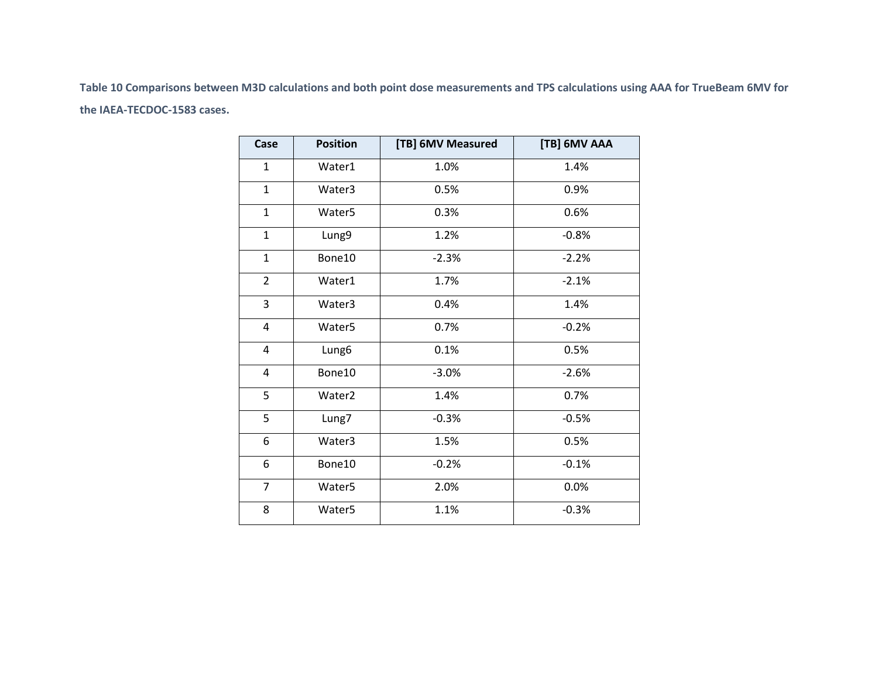<span id="page-19-0"></span>**Table 10 Comparisons between M3D calculations and both point dose measurements and TPS calculations using AAA for TrueBeam 6MV for the IAEA-TECDOC-1583 cases.**

| Case           | <b>Position</b>    | [TB] 6MV Measured | [TB] 6MV AAA |
|----------------|--------------------|-------------------|--------------|
| $\mathbf{1}$   | Water1             | 1.0%              | 1.4%         |
| $\mathbf{1}$   | Water3             | 0.5%              | 0.9%         |
| $\mathbf{1}$   | Water <sub>5</sub> | 0.3%              | 0.6%         |
| $\mathbf{1}$   | Lung9              | 1.2%              | $-0.8%$      |
| $\mathbf{1}$   | Bone10             | $-2.3%$           | $-2.2%$      |
| $\overline{2}$ | Water1             | 1.7%              | $-2.1%$      |
| 3              | Water3             | 0.4%              | 1.4%         |
| 4              | Water <sub>5</sub> | 0.7%              | $-0.2%$      |
| 4              | Lung6              | 0.1%              | 0.5%         |
| $\overline{4}$ | Bone10             | $-3.0%$           | $-2.6%$      |
| 5              | Water <sub>2</sub> | 1.4%              | 0.7%         |
| 5              | Lung7              | $-0.3%$           | $-0.5%$      |
| 6              | Water3             | 1.5%              | 0.5%         |
| 6              | Bone10             | $-0.2%$           | $-0.1%$      |
| $\overline{7}$ | Water <sub>5</sub> | 2.0%              | 0.0%         |
| 8              | Water <sub>5</sub> | 1.1%              | $-0.3%$      |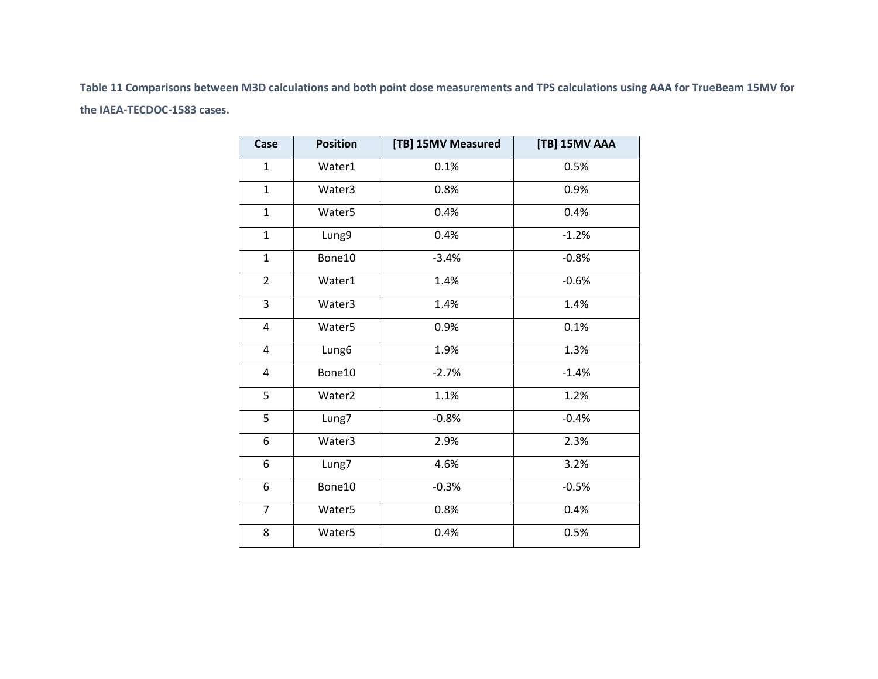<span id="page-20-0"></span>**Table 11 Comparisons between M3D calculations and both point dose measurements and TPS calculations using AAA for TrueBeam 15MV for the IAEA-TECDOC-1583 cases.**

| Case           | <b>Position</b>    | [TB] 15MV Measured | [TB] 15MV AAA |
|----------------|--------------------|--------------------|---------------|
| $\mathbf{1}$   | Water1             | 0.1%               | 0.5%          |
| $\mathbf{1}$   | Water3             | 0.8%               | 0.9%          |
| $\mathbf{1}$   | Water <sub>5</sub> | 0.4%               | 0.4%          |
| $\mathbf{1}$   | Lung9              | 0.4%               | $-1.2%$       |
| $\mathbf{1}$   | Bone10             | $-3.4%$            | $-0.8%$       |
| $\overline{2}$ | Water1             | 1.4%               | $-0.6%$       |
| 3              | Water3             | 1.4%               | 1.4%          |
| 4              | Water <sub>5</sub> | 0.9%               | 0.1%          |
| 4              | Lung <sub>6</sub>  | 1.9%               | 1.3%          |
| 4              | Bone10             | $-2.7%$            | $-1.4%$       |
| 5              | Water <sub>2</sub> | 1.1%               | 1.2%          |
| 5              | Lung7              | $-0.8%$            | $-0.4%$       |
| 6              | Water3             | 2.9%               | 2.3%          |
| 6              | Lung7              | 4.6%               | 3.2%          |
| 6              | Bone10             | $-0.3%$            | $-0.5%$       |
| $\overline{7}$ | Water <sub>5</sub> | 0.8%               | 0.4%          |
| 8              | Water <sub>5</sub> | 0.4%               | 0.5%          |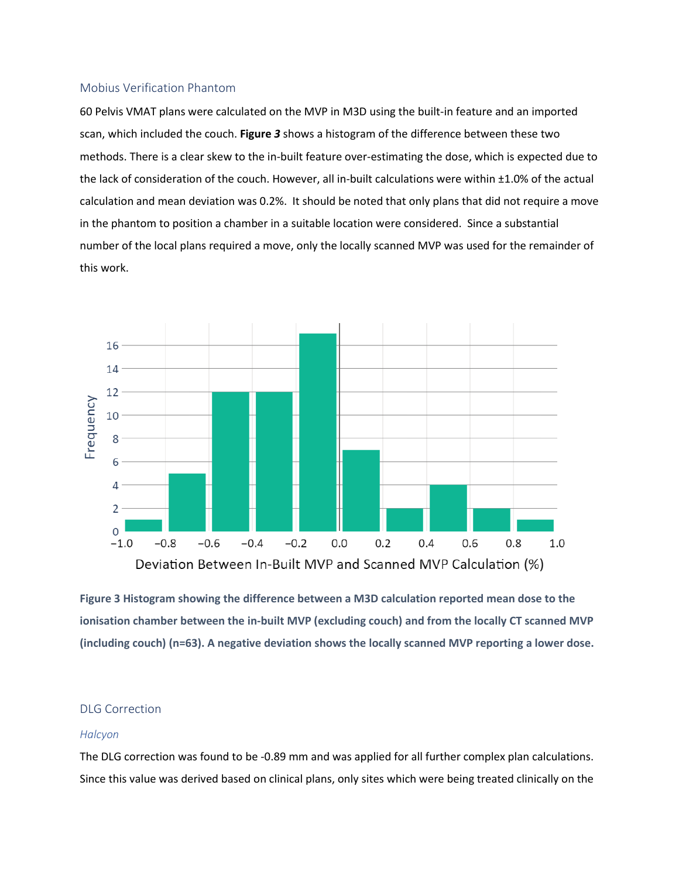#### <span id="page-21-0"></span>Mobius Verification Phantom

60 Pelvis VMAT plans were calculated on the MVP in M3D using the built-in feature and an imported scan, which included the couch. **[Figure](#page-21-2)** *3* shows a histogram of the difference between these two methods. There is a clear skew to the in-built feature over-estimating the dose, which is expected due to the lack of consideration of the couch. However, all in-built calculations were within ±1.0% of the actual calculation and mean deviation was 0.2%. It should be noted that only plans that did not require a move in the phantom to position a chamber in a suitable location were considered. Since a substantial number of the local plans required a move, only the locally scanned MVP was used for the remainder of this work.



<span id="page-21-2"></span>**Figure 3 Histogram showing the difference between a M3D calculation reported mean dose to the ionisation chamber between the in-built MVP (excluding couch) and from the locally CT scanned MVP (including couch) (n=63). A negative deviation shows the locally scanned MVP reporting a lower dose.**

#### <span id="page-21-1"></span>DLG Correction

#### *Halcyon*

The DLG correction was found to be -0.89 mm and was applied for all further complex plan calculations. Since this value was derived based on clinical plans, only sites which were being treated clinically on the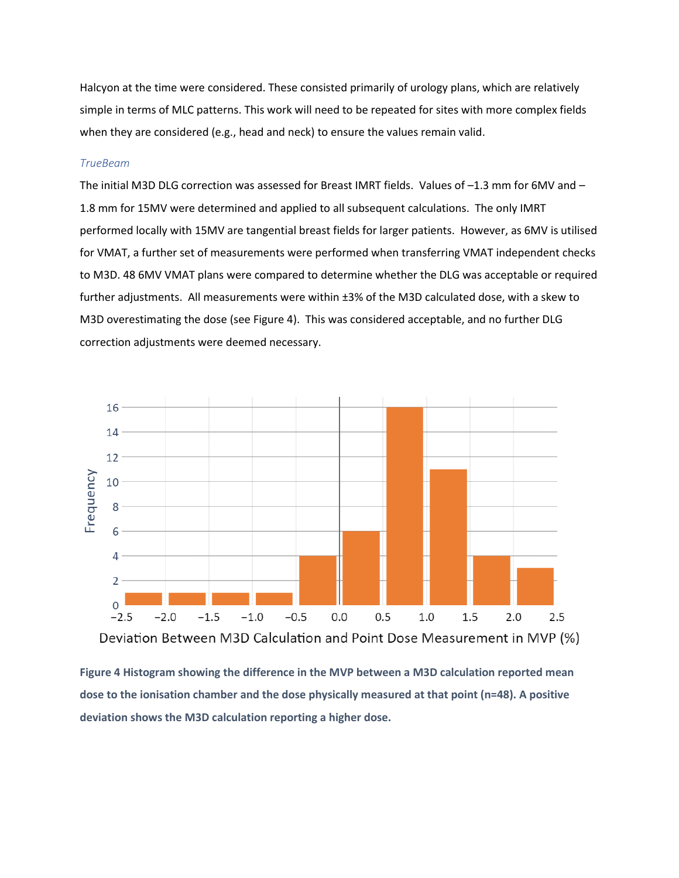Halcyon at the time were considered. These consisted primarily of urology plans, which are relatively simple in terms of MLC patterns. This work will need to be repeated for sites with more complex fields when they are considered (e.g., head and neck) to ensure the values remain valid.

#### *TrueBeam*

The initial M3D DLG correction was assessed for Breast IMRT fields. Values of –1.3 mm for 6MV and – 1.8 mm for 15MV were determined and applied to all subsequent calculations. The only IMRT performed locally with 15MV are tangential breast fields for larger patients. However, as 6MV is utilised for VMAT, a further set of measurements were performed when transferring VMAT independent checks to M3D. 48 6MV VMAT plans were compared to determine whether the DLG was acceptable or required further adjustments. All measurements were within ±3% of the M3D calculated dose, with a skew to M3D overestimating the dose (see [Figure 4\)](#page-22-0). This was considered acceptable, and no further DLG correction adjustments were deemed necessary.



<span id="page-22-0"></span>**Figure 4 Histogram showing the difference in the MVP between a M3D calculation reported mean dose to the ionisation chamber and the dose physically measured at that point (n=48). A positive deviation shows the M3D calculation reporting a higher dose.**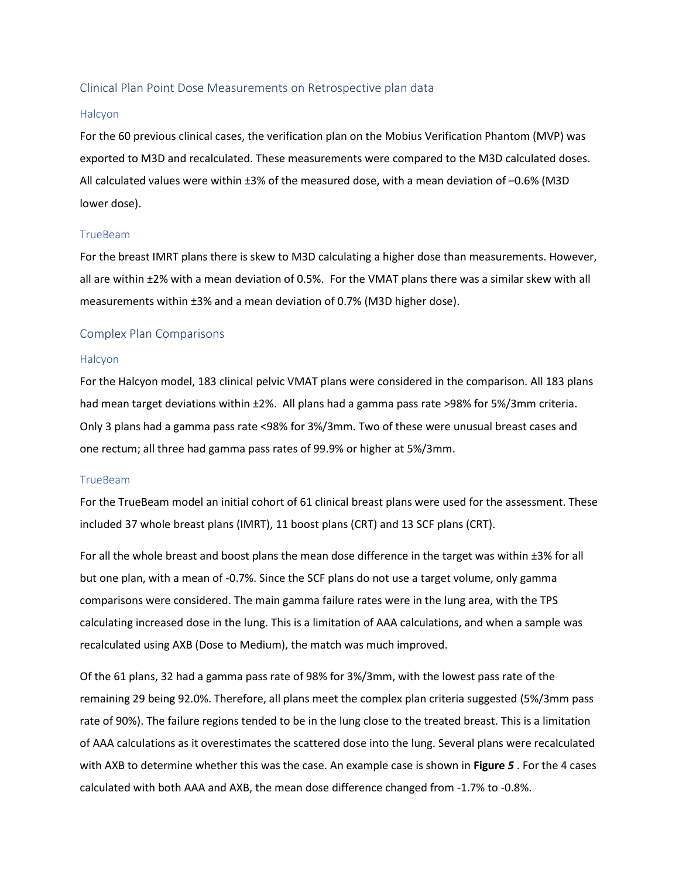#### <span id="page-23-0"></span>Clinical Plan Point Dose Measurements on Retrospective plan data

#### Halcyon

For the 60 previous clinical cases, the verification plan on the Mobius Verification Phantom (MVP) was exported to M3D and recalculated. These measurements were compared to the M3D calculated doses. All calculated values were within ±3% of the measured dose, with a mean deviation of –0.6% (M3D lower dose).

#### TrueBeam

For the breast IMRT plans there is skew to M3D calculating a higher dose than measurements. However, all are within ±2% with a mean deviation of 0.5%. For the VMAT plans there was a similar skew with all measurements within ±3% and a mean deviation of 0.7% (M3D higher dose).

#### <span id="page-23-1"></span>Complex Plan Comparisons

#### Halcyon

For the Halcyon model, 183 clinical pelvic VMAT plans were considered in the comparison. All 183 plans had mean target deviations within ±2%. All plans had a gamma pass rate >98% for 5%/3mm criteria. Only 3 plans had a gamma pass rate <98% for 3%/3mm. Two of these were unusual breast cases and one rectum; all three had gamma pass rates of 99.9% or higher at 5%/3mm.

#### TrueBeam

For the TrueBeam model an initial cohort of 61 clinical breast plans were used for the assessment. These included 37 whole breast plans (IMRT), 11 boost plans (CRT) and 13 SCF plans (CRT).

For all the whole breast and boost plans the mean dose difference in the target was within ±3% for all but one plan, with a mean of -0.7%. Since the SCF plans do not use a target volume, only gamma comparisons were considered. The main gamma failure rates were in the lung area, with the TPS calculating increased dose in the lung. This is a limitation of AAA calculations, and when a sample was recalculated using AXB (Dose to Medium), the match was much improved.

Of the 61 plans, 32 had a gamma pass rate of 98% for 3%/3mm, with the lowest pass rate of the remaining 29 being 92.0%. Therefore, all plans meet the complex plan criteria suggested (5%/3mm pass rate of 90%). The failure regions tended to be in the lung close to the treated breast. This is a limitation of AAA calculations as it overestimates the scattered dose into the lung. Several plans were recalculated with AXB to determine whether this was the case. An example case is shown in **[Figure](#page-24-0)** *5* . For the 4 cases calculated with both AAA and AXB, the mean dose difference changed from -1.7% to -0.8%.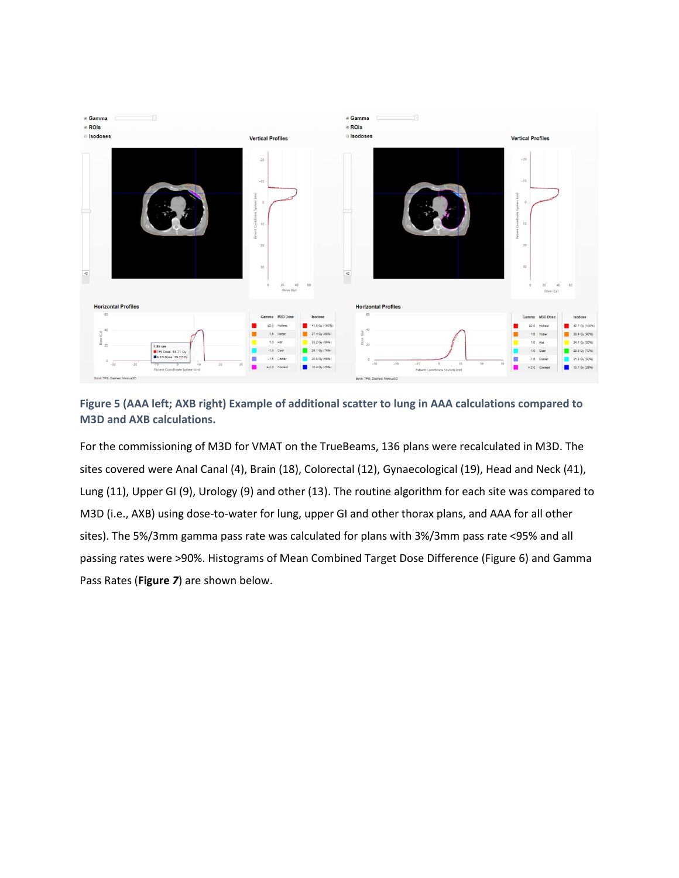

<span id="page-24-0"></span>**Figure 5 (AAA left; AXB right) Example of additional scatter to lung in AAA calculations compared to M3D and AXB calculations.**

For the commissioning of M3D for VMAT on the TrueBeams, 136 plans were recalculated in M3D. The sites covered were Anal Canal (4), Brain (18), Colorectal (12), Gynaecological (19), Head and Neck (41), Lung (11), Upper GI (9), Urology (9) and other (13). The routine algorithm for each site was compared to M3D (i.e., AXB) using dose-to-water for lung, upper GI and other thorax plans, and AAA for all other sites). The 5%/3mm gamma pass rate was calculated for plans with 3%/3mm pass rate <95% and all passing rates were >90%. Histograms of Mean Combined Target Dose Difference [\(Figure 6\)](#page-25-0) and Gamma Pass Rates (**[Figure](#page-25-1)** *7*) are shown below.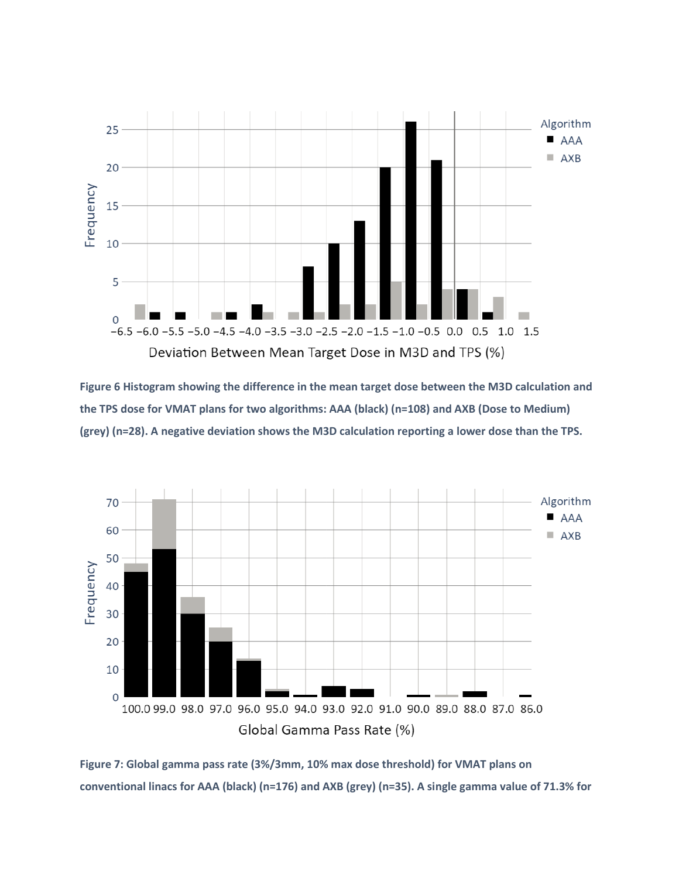

<span id="page-25-0"></span>**Figure 6 Histogram showing the difference in the mean target dose between the M3D calculation and the TPS dose for VMAT plans for two algorithms: AAA (black) (n=108) and AXB (Dose to Medium) (grey) (n=28). A negative deviation shows the M3D calculation reporting a lower dose than the TPS.**



<span id="page-25-1"></span>**Figure 7: Global gamma pass rate (3%/3mm, 10% max dose threshold) for VMAT plans on conventional linacs for AAA (black) (n=176) and AXB (grey) (n=35). A single gamma value of 71.3% for**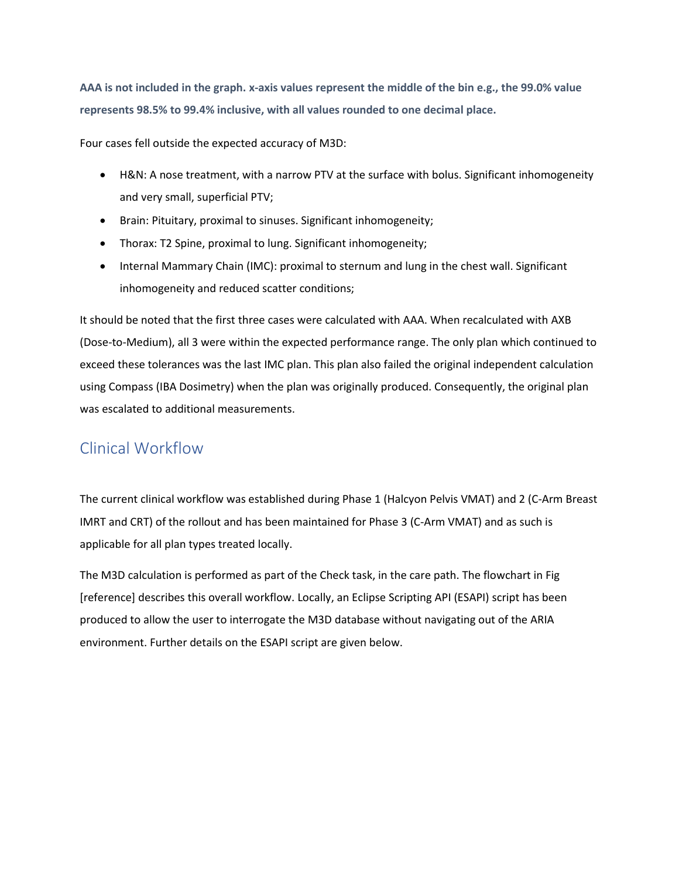**AAA is not included in the graph. x-axis values represent the middle of the bin e.g., the 99.0% value represents 98.5% to 99.4% inclusive, with all values rounded to one decimal place.**

Four cases fell outside the expected accuracy of M3D:

- H&N: A nose treatment, with a narrow PTV at the surface with bolus. Significant inhomogeneity and very small, superficial PTV;
- Brain: Pituitary, proximal to sinuses. Significant inhomogeneity;
- Thorax: T2 Spine, proximal to lung. Significant inhomogeneity;
- Internal Mammary Chain (IMC): proximal to sternum and lung in the chest wall. Significant inhomogeneity and reduced scatter conditions;

It should be noted that the first three cases were calculated with AAA. When recalculated with AXB (Dose-to-Medium), all 3 were within the expected performance range. The only plan which continued to exceed these tolerances was the last IMC plan. This plan also failed the original independent calculation using Compass (IBA Dosimetry) when the plan was originally produced. Consequently, the original plan was escalated to additional measurements.

### <span id="page-26-0"></span>Clinical Workflow

The current clinical workflow was established during Phase 1 (Halcyon Pelvis VMAT) and 2 (C-Arm Breast IMRT and CRT) of the rollout and has been maintained for Phase 3 (C-Arm VMAT) and as such is applicable for all plan types treated locally.

The M3D calculation is performed as part of the Check task, in the care path. The flowchart in Fig [reference] describes this overall workflow. Locally, an Eclipse Scripting API (ESAPI) script has been produced to allow the user to interrogate the M3D database without navigating out of the ARIA environment. Further details on the ESAPI script are given below.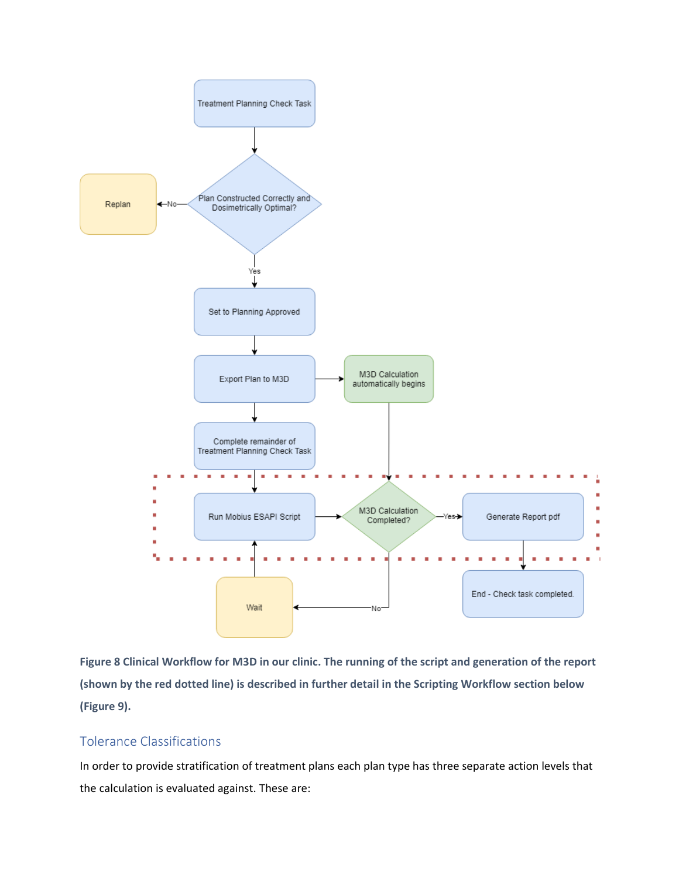

**Figure 8 Clinical Workflow for M3D in our clinic. The running of the script and generation of the report (shown by the red dotted line) is described in further detail in the Scripting Workflow section below [\(Figure 9\)](#page-29-0).**

#### <span id="page-27-0"></span>Tolerance Classifications

In order to provide stratification of treatment plans each plan type has three separate action levels that the calculation is evaluated against. These are: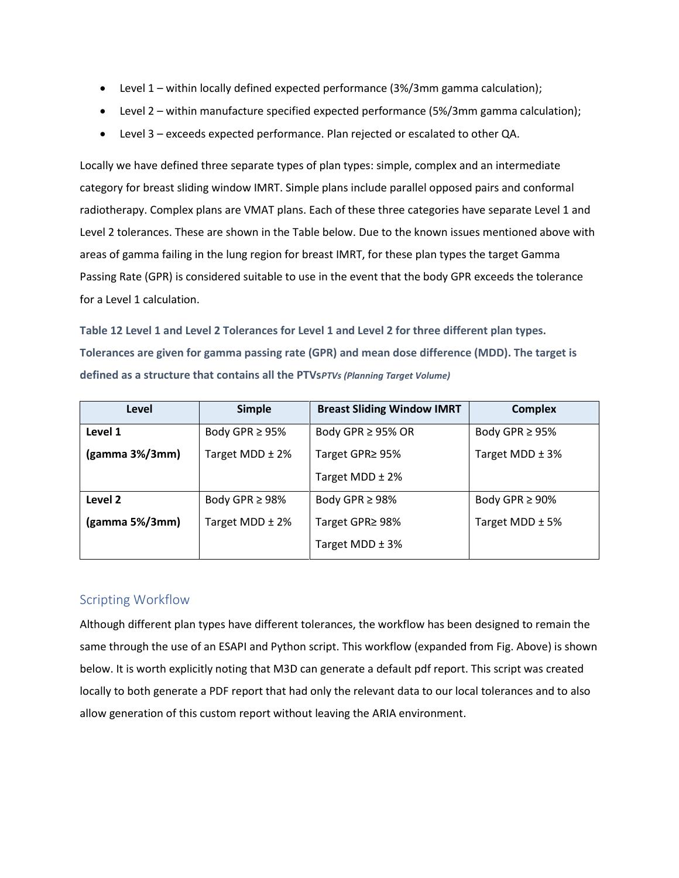- Level 1 within locally defined expected performance (3%/3mm gamma calculation);
- Level 2 within manufacture specified expected performance (5%/3mm gamma calculation);
- Level 3 exceeds expected performance. Plan rejected or escalated to other QA.

Locally we have defined three separate types of plan types: simple, complex and an intermediate category for breast sliding window IMRT. Simple plans include parallel opposed pairs and conformal radiotherapy. Complex plans are VMAT plans. Each of these three categories have separate Level 1 and Level 2 tolerances. These are shown in the Table below. Due to the known issues mentioned above with areas of gamma failing in the lung region for breast IMRT, for these plan types the target Gamma Passing Rate (GPR) is considered suitable to use in the event that the body GPR exceeds the tolerance for a Level 1 calculation.

**Table 12 Level 1 and Level 2 Tolerances for Level 1 and Level 2 for three different plan types. Tolerances are given for gamma passing rate (GPR) and mean dose difference (MDD). The target is defined as a structure that contains all the PTVs***PTVs (Planning Target Volume)*

| Level                   | <b>Simple</b>       | <b>Breast Sliding Window IMRT</b> | <b>Complex</b>      |
|-------------------------|---------------------|-----------------------------------|---------------------|
| Level 1                 | Body GPR $\geq$ 95% | Body GPR $\geq$ 95% OR            | Body GPR $\geq$ 95% |
| $(gamma 3\%/3mm)$       | Target MDD ± 2%     | Target GPR≥ 95%                   | Target MDD $\pm$ 3% |
|                         |                     | Target MDD $\pm$ 2%               |                     |
| Level 2                 | Body GPR $\geq$ 98% | Body GPR $\geq$ 98%               | Body GPR $\geq$ 90% |
| $\gamma$ (gamma 5%/3mm) | Target MDD ± 2%     | Target GPR≥ 98%                   | Target MDD $\pm$ 5% |
|                         |                     | Target MDD $\pm$ 3%               |                     |

#### <span id="page-28-0"></span>Scripting Workflow

Although different plan types have different tolerances, the workflow has been designed to remain the same through the use of an ESAPI and Python script. This workflow (expanded from Fig. Above) is shown below. It is worth explicitly noting that M3D can generate a default pdf report. This script was created locally to both generate a PDF report that had only the relevant data to our local tolerances and to also allow generation of this custom report without leaving the ARIA environment.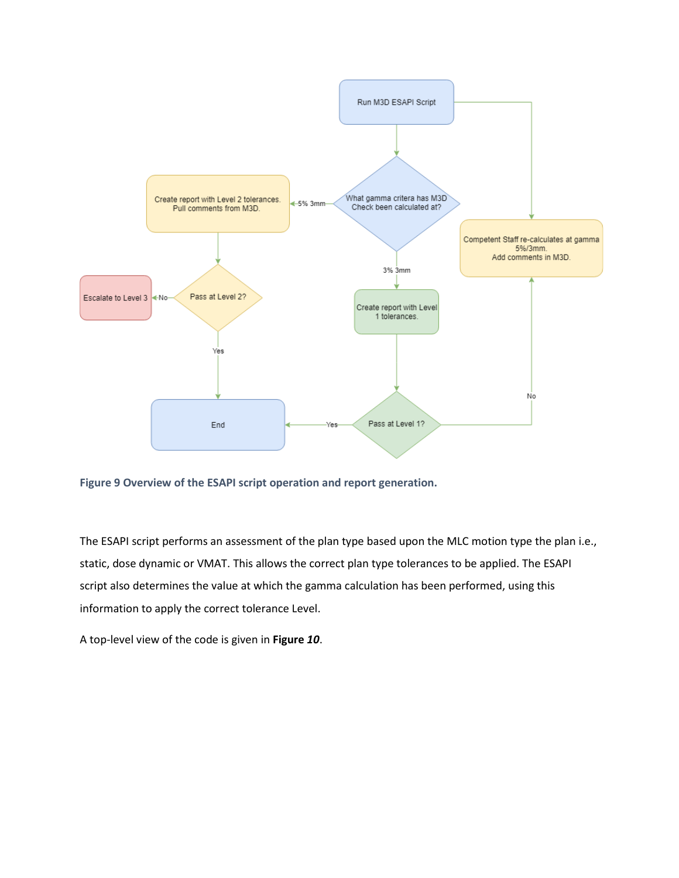

<span id="page-29-0"></span>**Figure 9 Overview of the ESAPI script operation and report generation.**

The ESAPI script performs an assessment of the plan type based upon the MLC motion type the plan i.e., static, dose dynamic or VMAT. This allows the correct plan type tolerances to be applied. The ESAPI script also determines the value at which the gamma calculation has been performed, using this information to apply the correct tolerance Level.

A top-level view of the code is given in **[Figure](#page-30-1)** *10*.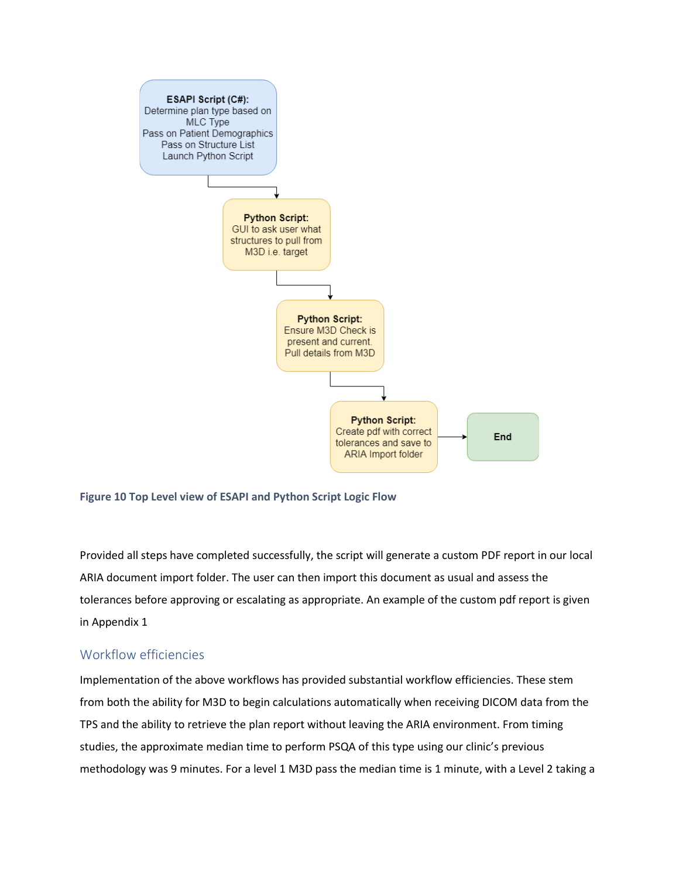

<span id="page-30-1"></span>

Provided all steps have completed successfully, the script will generate a custom PDF report in our local ARIA document import folder. The user can then import this document as usual and assess the tolerances before approving or escalating as appropriate. An example of the custom pdf report is given in Appendix 1

#### <span id="page-30-0"></span>Workflow efficiencies

Implementation of the above workflows has provided substantial workflow efficiencies. These stem from both the ability for M3D to begin calculations automatically when receiving DICOM data from the TPS and the ability to retrieve the plan report without leaving the ARIA environment. From timing studies, the approximate median time to perform PSQA of this type using our clinic's previous methodology was 9 minutes. For a level 1 M3D pass the median time is 1 minute, with a Level 2 taking a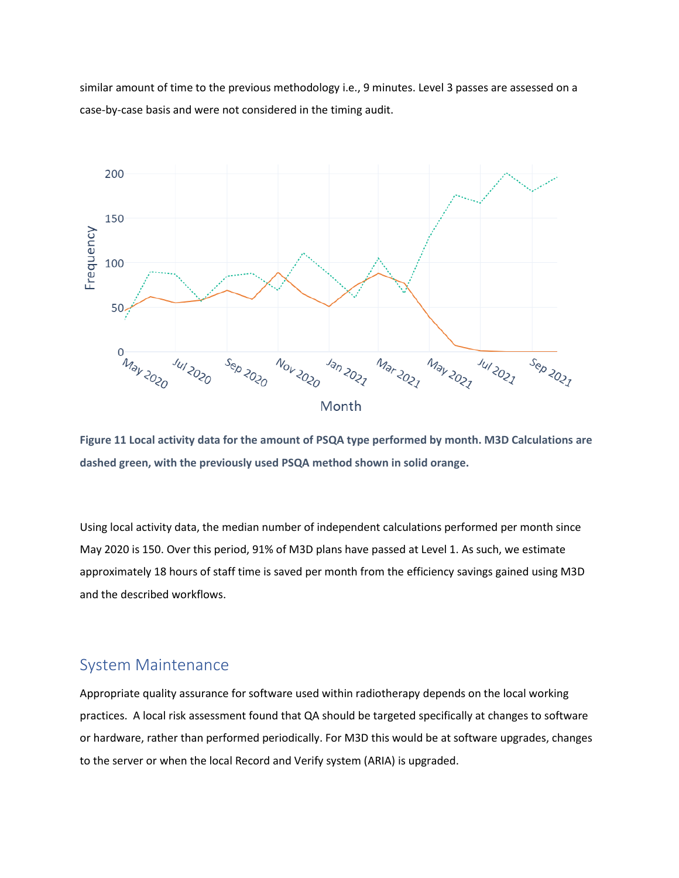similar amount of time to the previous methodology i.e., 9 minutes. Level 3 passes are assessed on a case-by-case basis and were not considered in the timing audit.



**Figure 11 Local activity data for the amount of PSQA type performed by month. M3D Calculations are dashed green, with the previously used PSQA method shown in solid orange.**

Using local activity data, the median number of independent calculations performed per month since May 2020 is 150. Over this period, 91% of M3D plans have passed at Level 1. As such, we estimate approximately 18 hours of staff time is saved per month from the efficiency savings gained using M3D and the described workflows.

### <span id="page-31-0"></span>System Maintenance

Appropriate quality assurance for software used within radiotherapy depends on the local working practices. A local risk assessment found that QA should be targeted specifically at changes to software or hardware, rather than performed periodically. For M3D this would be at software upgrades, changes to the server or when the local Record and Verify system (ARIA) is upgraded.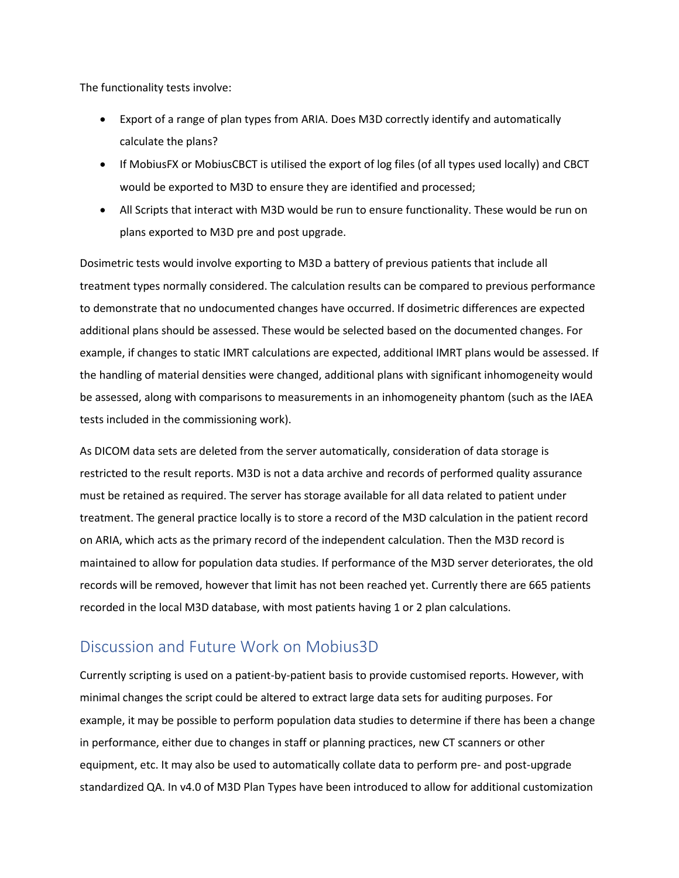The functionality tests involve:

- Export of a range of plan types from ARIA. Does M3D correctly identify and automatically calculate the plans?
- If MobiusFX or MobiusCBCT is utilised the export of log files (of all types used locally) and CBCT would be exported to M3D to ensure they are identified and processed;
- All Scripts that interact with M3D would be run to ensure functionality. These would be run on plans exported to M3D pre and post upgrade.

Dosimetric tests would involve exporting to M3D a battery of previous patients that include all treatment types normally considered. The calculation results can be compared to previous performance to demonstrate that no undocumented changes have occurred. If dosimetric differences are expected additional plans should be assessed. These would be selected based on the documented changes. For example, if changes to static IMRT calculations are expected, additional IMRT plans would be assessed. If the handling of material densities were changed, additional plans with significant inhomogeneity would be assessed, along with comparisons to measurements in an inhomogeneity phantom (such as the IAEA tests included in the commissioning work).

As DICOM data sets are deleted from the server automatically, consideration of data storage is restricted to the result reports. M3D is not a data archive and records of performed quality assurance must be retained as required. The server has storage available for all data related to patient under treatment. The general practice locally is to store a record of the M3D calculation in the patient record on ARIA, which acts as the primary record of the independent calculation. Then the M3D record is maintained to allow for population data studies. If performance of the M3D server deteriorates, the old records will be removed, however that limit has not been reached yet. Currently there are 665 patients recorded in the local M3D database, with most patients having 1 or 2 plan calculations.

### <span id="page-32-0"></span>Discussion and Future Work on Mobius3D

Currently scripting is used on a patient-by-patient basis to provide customised reports. However, with minimal changes the script could be altered to extract large data sets for auditing purposes. For example, it may be possible to perform population data studies to determine if there has been a change in performance, either due to changes in staff or planning practices, new CT scanners or other equipment, etc. It may also be used to automatically collate data to perform pre- and post-upgrade standardized QA. In v4.0 of M3D Plan Types have been introduced to allow for additional customization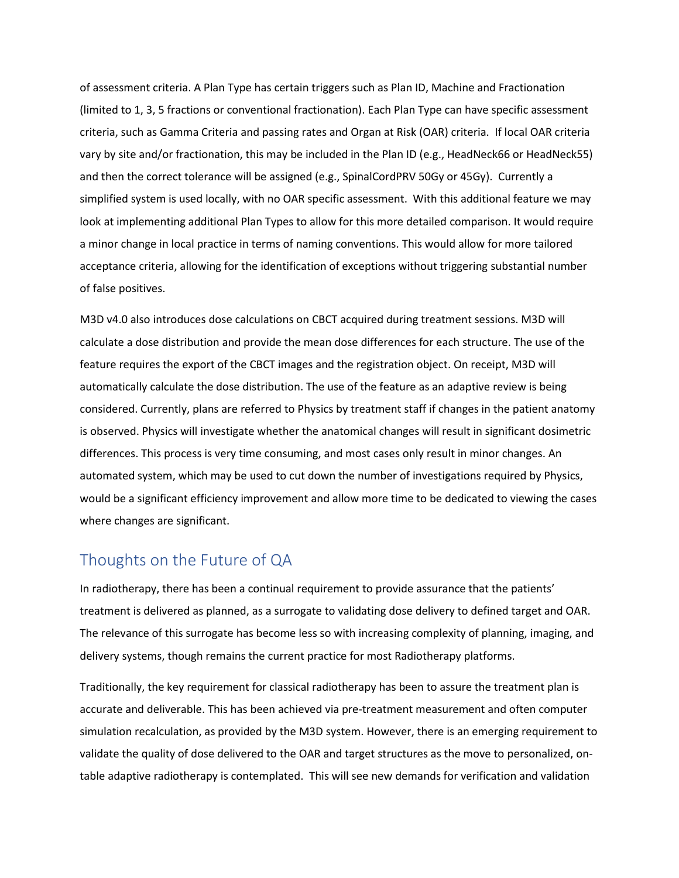of assessment criteria. A Plan Type has certain triggers such as Plan ID, Machine and Fractionation (limited to 1, 3, 5 fractions or conventional fractionation). Each Plan Type can have specific assessment criteria, such as Gamma Criteria and passing rates and Organ at Risk (OAR) criteria. If local OAR criteria vary by site and/or fractionation, this may be included in the Plan ID (e.g., HeadNeck66 or HeadNeck55) and then the correct tolerance will be assigned (e.g., SpinalCordPRV 50Gy or 45Gy). Currently a simplified system is used locally, with no OAR specific assessment. With this additional feature we may look at implementing additional Plan Types to allow for this more detailed comparison. It would require a minor change in local practice in terms of naming conventions. This would allow for more tailored acceptance criteria, allowing for the identification of exceptions without triggering substantial number of false positives.

M3D v4.0 also introduces dose calculations on CBCT acquired during treatment sessions. M3D will calculate a dose distribution and provide the mean dose differences for each structure. The use of the feature requires the export of the CBCT images and the registration object. On receipt, M3D will automatically calculate the dose distribution. The use of the feature as an adaptive review is being considered. Currently, plans are referred to Physics by treatment staff if changes in the patient anatomy is observed. Physics will investigate whether the anatomical changes will result in significant dosimetric differences. This process is very time consuming, and most cases only result in minor changes. An automated system, which may be used to cut down the number of investigations required by Physics, would be a significant efficiency improvement and allow more time to be dedicated to viewing the cases where changes are significant.

### <span id="page-33-0"></span>Thoughts on the Future of QA

In radiotherapy, there has been a continual requirement to provide assurance that the patients' treatment is delivered as planned, as a surrogate to validating dose delivery to defined target and OAR. The relevance of this surrogate has become less so with increasing complexity of planning, imaging, and delivery systems, though remains the current practice for most Radiotherapy platforms.

Traditionally, the key requirement for classical radiotherapy has been to assure the treatment plan is accurate and deliverable. This has been achieved via pre-treatment measurement and often computer simulation recalculation, as provided by the M3D system. However, there is an emerging requirement to validate the quality of dose delivered to the OAR and target structures as the move to personalized, ontable adaptive radiotherapy is contemplated. This will see new demands for verification and validation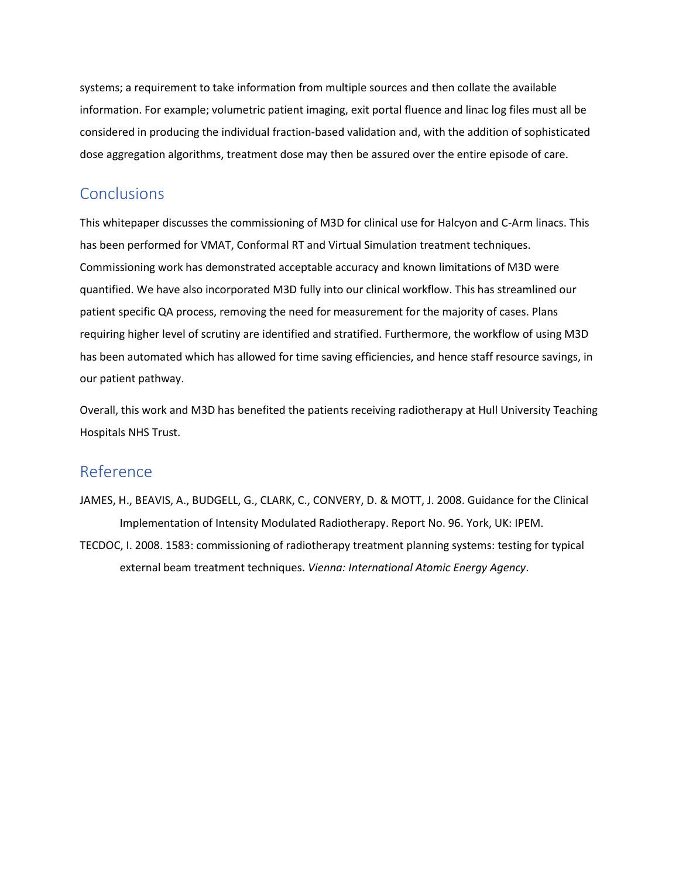systems; a requirement to take information from multiple sources and then collate the available information. For example; volumetric patient imaging, exit portal fluence and linac log files must all be considered in producing the individual fraction-based validation and, with the addition of sophisticated dose aggregation algorithms, treatment dose may then be assured over the entire episode of care.

### <span id="page-34-0"></span>**Conclusions**

This whitepaper discusses the commissioning of M3D for clinical use for Halcyon and C-Arm linacs. This has been performed for VMAT, Conformal RT and Virtual Simulation treatment techniques. Commissioning work has demonstrated acceptable accuracy and known limitations of M3D were quantified. We have also incorporated M3D fully into our clinical workflow. This has streamlined our patient specific QA process, removing the need for measurement for the majority of cases. Plans requiring higher level of scrutiny are identified and stratified. Furthermore, the workflow of using M3D has been automated which has allowed for time saving efficiencies, and hence staff resource savings, in our patient pathway.

Overall, this work and M3D has benefited the patients receiving radiotherapy at Hull University Teaching Hospitals NHS Trust.

### <span id="page-34-1"></span>Reference

JAMES, H., BEAVIS, A., BUDGELL, G., CLARK, C., CONVERY, D. & MOTT, J. 2008. Guidance for the Clinical Implementation of Intensity Modulated Radiotherapy. Report No. 96. York, UK: IPEM.

TECDOC, I. 2008. 1583: commissioning of radiotherapy treatment planning systems: testing for typical external beam treatment techniques. *Vienna: International Atomic Energy Agency*.